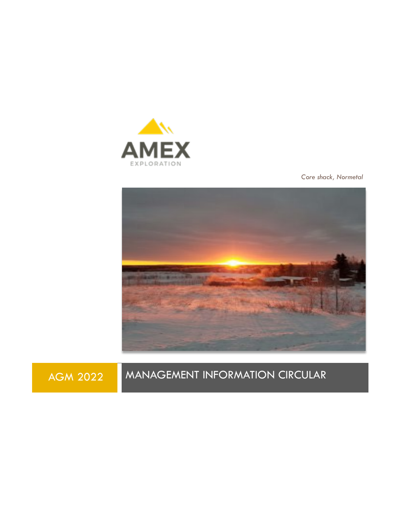

*Core shack, Normetal*



# AGM 2022 MANAGEMENT INFORMATION CIRCULAR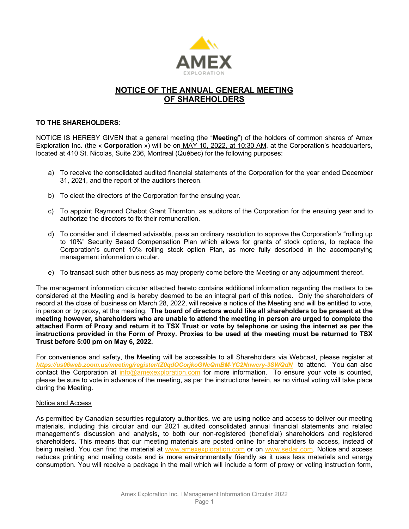

# **NOTICE OF THE ANNUAL GENERAL MEETING OF SHAREHOLDERS**

### **TO THE SHAREHOLDERS**:

NOTICE IS HEREBY GIVEN that a general meeting (the "**Meeting**") of the holders of common shares of Amex Exploration Inc. (the « **Corporation** ») will be on MAY 10, 2022, at 10:30 AM, at the Corporation's headquarters, located at 410 St. Nicolas, Suite 236, Montreal (Québec) for the following purposes:

- a) To receive the consolidated audited financial statements of the Corporation for the year ended December 31, 2021, and the report of the auditors thereon.
- b) To elect the directors of the Corporation for the ensuing year.
- c) To appoint Raymond Chabot Grant Thornton, as auditors of the Corporation for the ensuing year and to authorize the directors to fix their remuneration.
- d) To consider and, if deemed advisable, pass an ordinary resolution to approve the Corporation's "rolling up to 10%" Security Based Compensation Plan which allows for grants of stock options, to replace the Corporation's current 10% rolling stock option Plan, as more fully described in the accompanying management information circular.
- e) To transact such other business as may properly come before the Meeting or any adjournment thereof.

The management information circular attached hereto contains additional information regarding the matters to be considered at the Meeting and is hereby deemed to be an integral part of this notice. Only the shareholders of record at the close of business on March 28, 2022, will receive a notice of the Meeting and will be entitled to vote, in person or by proxy, at the meeting. **The board of directors would like all shareholders to be present at the meeting however, shareholders who are unable to attend the meeting in person are urged to complete the attached Form of Proxy and return it to TSX Trust or vote by telephone or using the internet as per the instructions provided in the Form of Proxy. Proxies to be used at the meeting must be returned to TSX Trust before 5:00 pm on May 6, 2022.**

For convenience and safety, the Meeting will be accessible to all Shareholders via Webcast, please register at *<https://us06web.zoom.us/meeting/register/tZ0qdOCorjkoGNcQmBM-YC2Nnwcry-3SWQdN>* to attend. You can also contact the Corporation at [info@amexexploration.com](mailto:info@amexexploration.com) for more information. To ensure your vote is counted, please be sure to vote in advance of the meeting, as per the instructions herein, as no virtual voting will take place during the Meeting.

#### Notice and Access

As permitted by Canadian securities regulatory authorities, we are using notice and access to deliver our meeting materials, including this circular and our 2021 audited consolidated annual financial statements and related management's discussion and analysis, to both our non-registered (beneficial) shareholders and registered shareholders. This means that our meeting materials are posted online for shareholders to access, instead of being mailed. You can find the material at [www.amexexploration.com](http://www.amexexploration.com/) or on [www.sedar.com.](http://www.sedar.com/) Notice and access reduces printing and mailing costs and is more environmentally friendly as it uses less materials and energy consumption. You will receive a package in the mail which will include a form of proxy or voting instruction form,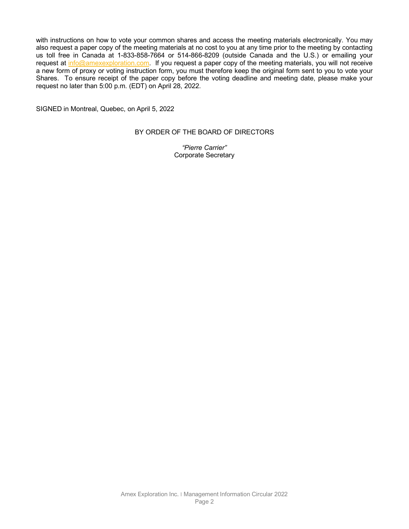with instructions on how to vote your common shares and access the meeting materials electronically. You may also request a paper copy of the meeting materials at no cost to you at any time prior to the meeting by contacting us toll free in Canada at 1-833-858-7664 or 514-866-8209 (outside Canada and the U.S.) or emailing your request at [info@amexexploration.com.](mailto:info@amexexploration.com) If you request a paper copy of the meeting materials, you will not receive a new form of proxy or voting instruction form, you must therefore keep the original form sent to you to vote your Shares. To ensure receipt of the paper copy before the voting deadline and meeting date, please make your request no later than 5:00 p.m. (EDT) on April 28, 2022.

SIGNED in Montreal, Quebec, on April 5, 2022

### BY ORDER OF THE BOARD OF DIRECTORS

*"Pierre Carrier"* Corporate Secretary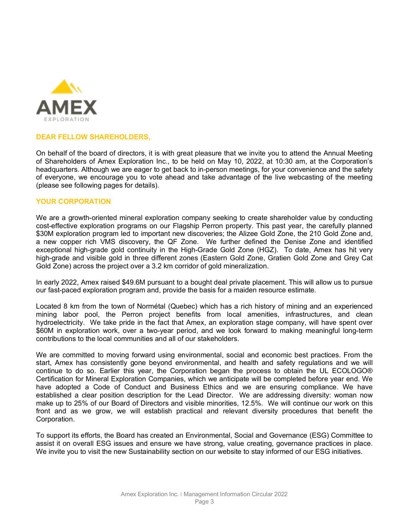

# **DEAR FELLOW SHAREHOLDERS,**

On behalf of the board of directors, it is with great pleasure that we invite you to attend the Annual Meeting of Shareholders of Amex Exploration Inc., to be held on May 10, 2022, at 10:30 am, at the Corporation's headquarters. Although we are eager to get back to in-person meetings, for your convenience and the safety of everyone, we encourage you to vote ahead and take advantage of the live webcasting of the meeting (please see following pages for details).

#### **YOUR CORPORATION**

We are a growth-oriented mineral exploration company seeking to create shareholder value by conducting cost-effective exploration programs on our Flagship Perron property. This past year, the carefully planned \$30M exploration program led to important new discoveries; the Alizee Gold Zone, the 210 Gold Zone and, a new copper rich VMS discovery, the QF Zone. We further defined the Denise Zone and identified exceptional high-grade gold continuity in the High-Grade Gold Zone (HGZ). To date, Amex has hit very high-grade and visible gold in three different zones (Eastern Gold Zone, Gratien Gold Zone and Grey Cat Gold Zone) across the project over a 3.2 km corridor of gold mineralization.

In early 2022, Amex raised \$49.6M pursuant to a bought deal private placement. This will allow us to pursue our fast-paced exploration program and, provide the basis for a maiden resource estimate.

Located 8 km from the town of Normétal (Quebec) which has a rich history of mining and an experienced mining labor pool, the Perron project benefits from local amenities, infrastructures, and clean hydroelectricity. We take pride in the fact that Amex, an exploration stage company, will have spent over \$60M in exploration work, over a two-year period, and we look forward to making meaningful long-term contributions to the local communities and all of our stakeholders.

We are committed to moving forward using environmental, social and economic best practices. From the start, Amex has consistently gone beyond environmental, and health and safety regulations and we will continue to do so. Earlier this year, the Corporation began the process to obtain the UL ECOLOGO® Certification for Mineral Exploration Companies, which we anticipate will be completed before year end. We have adopted a Code of Conduct and Business Ethics and we are ensuring compliance. We have established a clear position description for the Lead Director. We are addressing diversity: woman now make up to 25% of our Board of Directors and visible minorities, 12.5%. We will continue our work on this front and as we grow, we will establish practical and relevant diversity procedures that benefit the Corporation.

To support its efforts, the Board has created an Environmental, Social and Governance (ESG) Committee to assist it on overall ESG issues and ensure we have strong, value creating, governance practices in place. We invite you to visit the new Sustainability section on our website to stay informed of our ESG initiatives.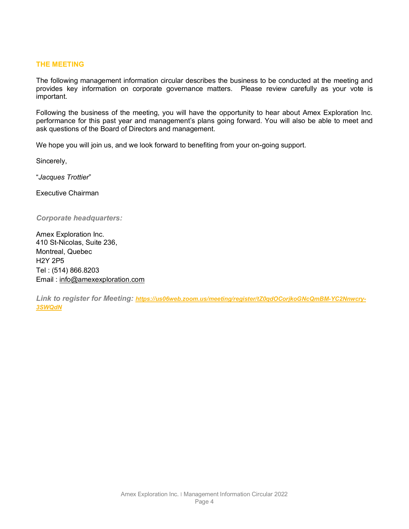# **THE MEETING**

The following management information circular describes the business to be conducted at the meeting and provides key information on corporate governance matters. Please review carefully as your vote is important.

Following the business of the meeting, you will have the opportunity to hear about Amex Exploration Inc. performance for this past year and management's plans going forward. You will also be able to meet and ask questions of the Board of Directors and management.

We hope you will join us, and we look forward to benefiting from your on-going support.

Sincerely,

"*Jacques Trottier*"

Executive Chairman

*Corporate headquarters:*

Amex Exploration Inc. 410 St-Nicolas, Suite 236, Montreal, Quebec H2Y 2P5 Tel : (514) 866.8203 Email : [info@amexexploration.com](mailto:info@amexexploration.com)

*Link to register for Meeting: [https://us06web.zoom.us/meeting/register/tZ0qdOCorjkoGNcQmBM-YC2Nnwcry-](https://us06web.zoom.us/meeting/register/tZ0qdOCorjkoGNcQmBM-YC2Nnwcry-3SWQdN)[3SWQdN](https://us06web.zoom.us/meeting/register/tZ0qdOCorjkoGNcQmBM-YC2Nnwcry-3SWQdN)*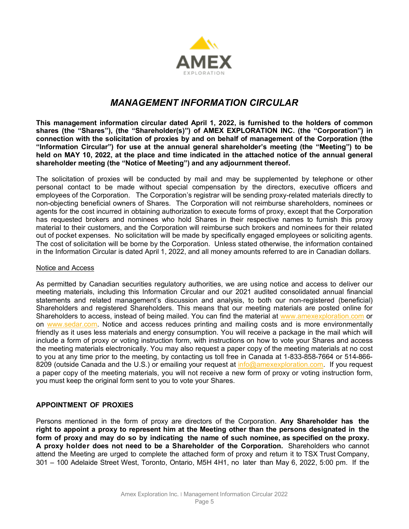

# *MANAGEMENT INFORMATION CIRCULAR*

**This management information circular dated April 1, 2022, is furnished to the holders of common shares (the "Shares"), (the "Shareholder(s)") of AMEX EXPLORATION INC. (the "Corporation") in connection with the solicitation of proxies by and on behalf of management of the Corporation (the "Information Circular") for use at the annual general shareholder's meeting (the "Meeting") to be held on MAY 10, 2022, at the place and time indicated in the attached notice of the annual general shareholder meeting (the "Notice of Meeting") and any adjournment thereof.**

The solicitation of proxies will be conducted by mail and may be supplemented by telephone or other personal contact to be made without special compensation by the directors, executive officers and employees of the Corporation. The Corporation's registrar will be sending proxy-related materials directly to non-objecting beneficial owners of Shares. The Corporation will not reimburse shareholders, nominees or agents for the cost incurred in obtaining authorization to execute forms of proxy, except that the Corporation has requested brokers and nominees who hold Shares in their respective names to furnish this proxy material to their customers, and the Corporation will reimburse such brokers and nominees for their related out of pocket expenses. No solicitation will be made by specifically engaged employees or soliciting agents. The cost of solicitation will be borne by the Corporation. Unless stated otherwise, the information contained in the Information Circular is dated April 1, 2022, and all money amounts referred to are in Canadian dollars.

# Notice and Access

As permitted by Canadian securities regulatory authorities, we are using notice and access to deliver our meeting materials, including this Information Circular and our 2021 audited consolidated annual financial statements and related management's discussion and analysis, to both our non-registered (beneficial) Shareholders and registered Shareholders. This means that our meeting materials are posted online for Shareholders to access, instead of being mailed. You can find the material at [www.amexexploration.com](http://www.amexexploration.com/) or on [www.sedar.com.](http://www.sedar.com/) Notice and access reduces printing and mailing costs and is more environmentally friendly as it uses less materials and energy consumption. You will receive a package in the mail which will include a form of proxy or voting instruction form, with instructions on how to vote your Shares and access the meeting materials electronically. You may also request a paper copy of the meeting materials at no cost to you at any time prior to the meeting, by contacting us toll free in Canada at 1-833-858-7664 or 514-866- 8209 (outside Canada and the U.S.) or emailing your request at  $info@amexexploration.com$ . If you request a paper copy of the meeting materials, you will not receive a new form of proxy or voting instruction form, you must keep the original form sent to you to vote your Shares.

# **APPOINTMENT OF PROXIES**

Persons mentioned in the form of proxy are directors of the Corporation. **Any Shareholder has the right to appoint a proxy to represent him at the Meeting other than the persons designated in the form of proxy and may do so by indicating the name of such nominee, as specified on the proxy. A proxy holder does not need to be a Shareholder of the Corporation.** Shareholders who cannot attend the Meeting are urged to complete the attached form of proxy and return it to TSX Trust Company, 301 – 100 Adelaide Street West, Toronto, Ontario, M5H 4H1, no later than May 6, 2022, 5:00 pm. If the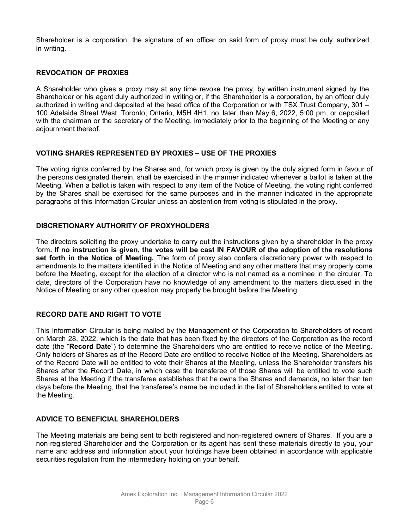Shareholder is a corporation, the signature of an officer on said form of proxy must be duly authorized in writing.

# **REVOCATION OF PROXIES**

A Shareholder who gives a proxy may at any time revoke the proxy, by written instrument signed by the Shareholder or his agent duly authorized in writing or, if the Shareholder is a corporation, by an officer duly authorized in writing and deposited at the head office of the Corporation or with TSX Trust Company, 301 – 100 Adelaide Street West, Toronto, Ontario, M5H 4H1, no later than May 6, 2022, 5:00 pm, or deposited with the chairman or the secretary of the Meeting, immediately prior to the beginning of the Meeting or any adjournment thereof.

### **VOTING SHARES REPRESENTED BY PROXIES – USE OF THE PROXIES**

The voting rights conferred by the Shares and, for which proxy is given by the duly signed form in favour of the persons designated therein, shall be exercised in the manner indicated whenever a ballot is taken at the Meeting. When a ballot is taken with respect to any item of the Notice of Meeting, the voting right conferred by the Shares shall be exercised for the same purposes and in the manner indicated in the appropriate paragraphs of this Information Circular unless an abstention from voting is stipulated in the proxy.

# **DISCRETIONARY AUTHORITY OF PROXYHOLDERS**

The directors soliciting the proxy undertake to carry out the instructions given by a shareholder in the proxy form**. If no instruction is given, the votes will be cast IN FAVOUR of the adoption of the resolutions set forth in the Notice of Meeting.** The form of proxy also confers discretionary power with respect to amendments to the matters identified in the Notice of Meeting and any other matters that may properly come before the Meeting, except for the election of a director who is not named as a nominee in the circular. To date, directors of the Corporation have no knowledge of any amendment to the matters discussed in the Notice of Meeting or any other question may properly be brought before the Meeting.

# **RECORD DATE AND RIGHT TO VOTE**

This Information Circular is being mailed by the Management of the Corporation to Shareholders of record on March 28, 2022, which is the date that has been fixed by the directors of the Corporation as the record date (the "**Record Date**") to determine the Shareholders who are entitled to receive notice of the Meeting. Only holders of Shares as of the Record Date are entitled to receive Notice of the Meeting. Shareholders as of the Record Date will be entitled to vote their Shares at the Meeting, unless the Shareholder transfers his Shares after the Record Date, in which case the transferee of those Shares will be entitled to vote such Shares at the Meeting if the transferee establishes that he owns the Shares and demands, no later than ten days before the Meeting, that the transferee's name be included in the list of Shareholders entitled to vote at the Meeting.

# **ADVICE TO BENEFICIAL SHAREHOLDERS**

The Meeting materials are being sent to both registered and non-registered owners of Shares. If you are a non-registered Shareholder and the Corporation or its agent has sent these materials directly to you, your name and address and information about your holdings have been obtained in accordance with applicable securities regulation from the intermediary holding on your behalf.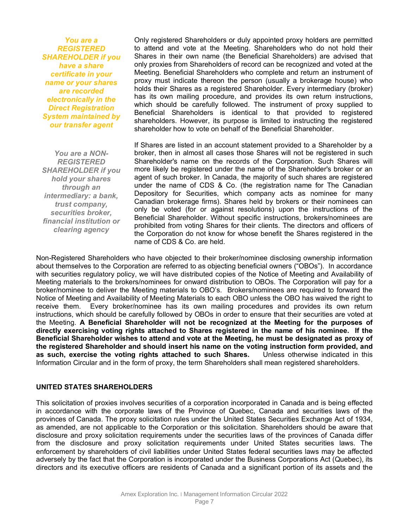*You are a REGISTERED SHAREHOLDER if you have a share certificate in your name or your shares are recorded electronically in the Direct Registration System maintained by our transfer agent*

*You are a NON-REGISTERED SHAREHOLDER if you hold your shares through an intermediary: a bank, trust company, securities broker, financial institution or clearing agency*

Only registered Shareholders or duly appointed proxy holders are permitted to attend and vote at the Meeting. Shareholders who do not hold their Shares in their own name (the Beneficial Shareholders) are advised that only proxies from Shareholders of record can be recognized and voted at the Meeting. Beneficial Shareholders who complete and return an instrument of proxy must indicate thereon the person (usually a brokerage house) who holds their Shares as a registered Shareholder. Every intermediary (broker) has its own mailing procedure, and provides its own return instructions, which should be carefully followed. The instrument of proxy supplied to Beneficial Shareholders is identical to that provided to registered shareholders. However, its purpose is limited to instructing the registered shareholder how to vote on behalf of the Beneficial Shareholder.

If Shares are listed in an account statement provided to a Shareholder by a broker, then in almost all cases those Shares will not be registered in such Shareholder's name on the records of the Corporation. Such Shares will more likely be registered under the name of the Shareholder's broker or an agent of such broker. In Canada, the majority of such shares are registered under the name of CDS & Co. (the registration name for The Canadian Depository for Securities, which company acts as nominee for many Canadian brokerage firms). Shares held by brokers or their nominees can only be voted (for or against resolutions) upon the instructions of the Beneficial Shareholder. Without specific instructions, brokers/nominees are prohibited from voting Shares for their clients. The directors and officers of the Corporation do not know for whose benefit the Shares registered in the name of CDS & Co. are held.

Non-Registered Shareholders who have objected to their broker/nominee disclosing ownership information about themselves to the Corporation are referred to as objecting beneficial owners ("OBOs"). In accordance with securities regulatory policy, we will have distributed copies of the Notice of Meeting and Availability of Meeting materials to the brokers/nominees for onward distribution to OBOs. The Corporation will pay for a broker/nominee to deliver the Meeting materials to OBO's. Brokers/nominees are required to forward the Notice of Meeting and Availability of Meeting Materials to each OBO unless the OBO has waived the right to receive them. Every broker/nominee has its own mailing procedures and provides its own return instructions, which should be carefully followed by OBOs in order to ensure that their securities are voted at the Meeting. **A Beneficial Shareholder will not be recognized at the Meeting for the purposes of directly exercising voting rights attached to Shares registered in the name of his nominee. If the Beneficial Shareholder wishes to attend and vote at the Meeting, he must be designated as proxy of the registered Shareholder and should insert his name on the voting instruction form provided, and as such, exercise the voting rights attached to such Shares.** Unless otherwise indicated in this Information Circular and in the form of proxy, the term Shareholders shall mean registered shareholders.

#### **UNITED STATES SHAREHOLDERS**

This solicitation of proxies involves securities of a corporation incorporated in Canada and is being effected in accordance with the corporate laws of the Province of Quebec, Canada and securities laws of the provinces of Canada. The proxy solicitation rules under the United States Securities Exchange Act of 1934, as amended, are not applicable to the Corporation or this solicitation. Shareholders should be aware that disclosure and proxy solicitation requirements under the securities laws of the provinces of Canada differ from the disclosure and proxy solicitation requirements under United States securities laws. The enforcement by shareholders of civil liabilities under United States federal securities laws may be affected adversely by the fact that the Corporation is incorporated under the Business Corporations Act (Quebec), its directors and its executive officers are residents of Canada and a significant portion of its assets and the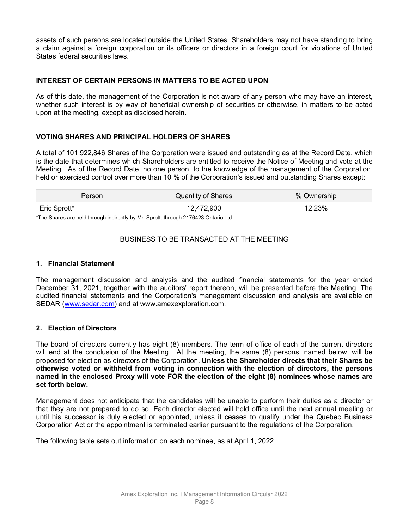assets of such persons are located outside the United States. Shareholders may not have standing to bring a claim against a foreign corporation or its officers or directors in a foreign court for violations of United States federal securities laws.

# **INTEREST OF CERTAIN PERSONS IN MATTERS TO BE ACTED UPON**

As of this date, the management of the Corporation is not aware of any person who may have an interest, whether such interest is by way of beneficial ownership of securities or otherwise, in matters to be acted upon at the meeting, except as disclosed herein.

# **VOTING SHARES AND PRINCIPAL HOLDERS OF SHARES**

A total of 101,922,846 Shares of the Corporation were issued and outstanding as at the Record Date, which is the date that determines which Shareholders are entitled to receive the Notice of Meeting and vote at the Meeting. As of the Record Date, no one person, to the knowledge of the management of the Corporation, held or exercised control over more than 10 % of the Corporation's issued and outstanding Shares except:

| Person       | <b>Quantity of Shares</b> | % Ownership |
|--------------|---------------------------|-------------|
| Eric Sprott* | 12,472,900                | 12.23%      |

\*The Shares are held through indirectly by Mr. Sprott, through 2176423 Ontario Ltd.

### BUSINESS TO BE TRANSACTED AT THE MEETING

#### **1. Financial Statement**

The management discussion and analysis and the audited financial statements for the year ended December 31, 2021, together with the auditors' report thereon, will be presented before the Meeting. The audited financial statements and the Corporation's management discussion and analysis are available on SEDAR [\(www.sedar.com\)](http://www.sedar.com/) and at www.amexexploration.com.

#### **2. Election of Directors**

The board of directors currently has eight (8) members. The term of office of each of the current directors will end at the conclusion of the Meeting. At the meeting, the same (8) persons, named below, will be proposed for election as directors of the Corporation. **Unless the Shareholder directs that their Shares be otherwise voted or withheld from voting in connection with the election of directors, the persons named in the enclosed Proxy will vote FOR the election of the eight (8) nominees whose names are set forth below.**

Management does not anticipate that the candidates will be unable to perform their duties as a director or that they are not prepared to do so. Each director elected will hold office until the next annual meeting or until his successor is duly elected or appointed, unless it ceases to qualify under the Quebec Business Corporation Act or the appointment is terminated earlier pursuant to the regulations of the Corporation.

The following table sets out information on each nominee, as at April 1, 2022.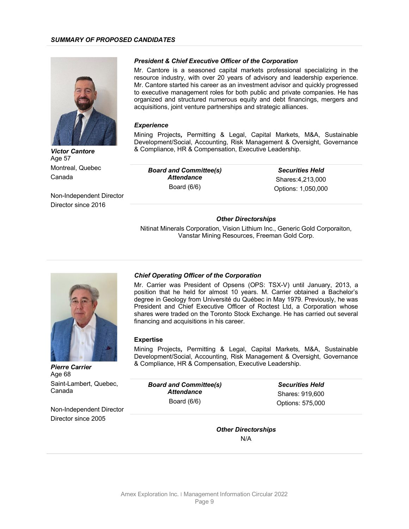

*Victor Cantore* Age 57 Montreal, Quebec Canada

Non-Independent Director Director since 2016

#### *President & Chief Executive Officer of the Corporation*

Mr. Cantore is a seasoned capital markets professional specializing in the resource industry, with over 20 years of advisory and leadership experience. Mr. Cantore started his career as an investment advisor and quickly progressed to executive management roles for both public and private companies. He has organized and structured numerous equity and debt financings, mergers and acquisitions, joint venture partnerships and strategic alliances.

#### *Experience*

Mining Projects*,* Permitting & Legal, Capital Markets, M&A, Sustainable Development/Social, Accounting, Risk Management & Oversight, Governance & Compliance, HR & Compensation, Executive Leadership.

*Board and Committee(s) Attendance* Board (6/6)

*Securities Held* Shares:4,213,000 Options: 1,050,000

#### *Other Directorships*

Nitinat Minerals Corporation, Vision Lithium Inc., Generic Gold Corporaiton, Vanstar Mining Resources, Freeman Gold Corp.



*Chief Operating Officer of the Corporation*

Mr. Carrier was President of Opsens (OPS: TSX-V) until January, 2013, a position that he held for almost 10 years. M. Carrier obtained a Bachelor's degree in Geology from Université du Québec in May 1979. Previously, he was President and Chief Executive Officer of Roctest Ltd, a Corporation whose shares were traded on the Toronto Stock Exchange. He has carried out several financing and acquisitions in his career.

#### **Expertise**

Mining Projects*,* Permitting & Legal, Capital Markets, M&A, Sustainable Development/Social, Accounting, Risk Management & Oversight, Governance & Compliance, HR & Compensation, Executive Leadership.

*Pierre Carrier* Age 68 Saint-Lambert, Quebec, Canada

*Board and Committee(s) Attendance* Board (6/6)

*Securities Held* Shares: 919,600 Options: 575,000

Non-Independent Director Director since 2005

> *Other Directorships* N/A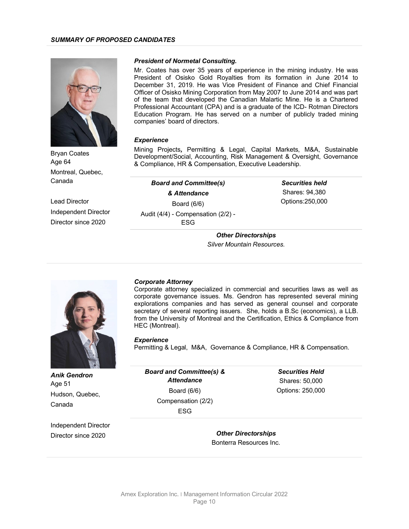

*President of Normetal Consulting.*

Mr. Coates has over 35 years of experience in the mining industry. He was President of Osisko Gold Royalties from its formation in June 2014 to December 31, 2019. He was Vice President of Finance and Chief Financial Officer of Osisko Mining Corporation from May 2007 to June 2014 and was part of the team that developed the Canadian Malartic Mine. He is a Chartered Professional Accountant (CPA) and is a graduate of the ICD- Rotman Directors Education Program. He has served on a number of publicly traded mining companies' board of directors.

#### *Experience*

Mining Projects*,* Permitting & Legal, Capital Markets, M&A, Sustainable Development/Social, Accounting, Risk Management & Oversight, Governance & Compliance, HR & Compensation, Executive Leadership.

> *Securities held* Shares: 94,380 Options:250,000

| & Attendance |  |  |  |  |  |
|--------------|--|--|--|--|--|
|              |  |  |  |  |  |
|              |  |  |  |  |  |
|              |  |  |  |  |  |
|              |  |  |  |  |  |

*Other Directorships Silver Mountain Resources.*

Canada Lead Director Independent Director

Director since 2020

Montreal, Quebec,

Bryan Coates Age 64

#### *Corporate Attorney*

Corporate attorney specialized in commercial and securities laws as well as corporate governance issues. Ms. Gendron has represented several mining explorations companies and has served as general counsel and corporate secretary of several reporting issuers. She, holds a B.Sc (economics), a LLB. from the University of Montreal and the Certification, Ethics & Compliance from HEC (Montreal).

#### *Experience*

Permitting & Legal, M&A, Governance & Compliance, HR & Compensation.

| <b>Anik Gendron</b><br>Age 51 | <b>Board and Committee(s) &amp;</b><br><b>Attendance</b> | <b>Securities Held</b><br>Shares: 50,000 |  |
|-------------------------------|----------------------------------------------------------|------------------------------------------|--|
| Hudson, Quebec,               | Board $(6/6)$                                            | Options: 250,000                         |  |
| Canada                        | Compensation (2/2)                                       |                                          |  |
|                               | <b>ESG</b>                                               |                                          |  |
| Independent Director          |                                                          |                                          |  |
| Director since 2020           | <b>Other Directorships</b>                               |                                          |  |
|                               | Bonterra Resources Inc.                                  |                                          |  |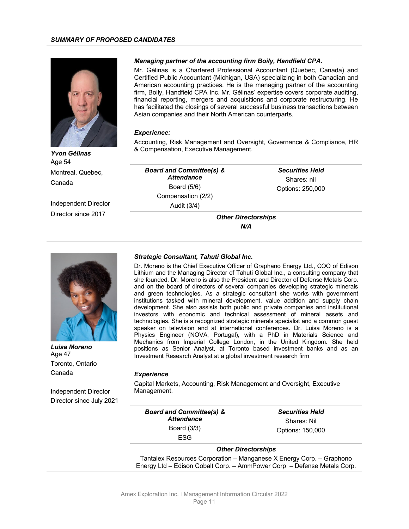

#### *Managing partner of the accounting firm Boily, Handfield CPA.*

Mr. Gélinas is a Chartered Professional Accountant (Quebec, Canada) and Certified Public Accountant (Michigan, USA) specializing in both Canadian and American accounting practices. He is the managing partner of the accounting firm, Boily, Handfield CPA Inc. Mr. Gélinas' expertise covers corporate auditing, financial reporting, mergers and acquisitions and corporate restructuring. He has facilitated the closings of several successful business transactions between Asian companies and their North American counterparts.

#### *Experience:*

Accounting, Risk Management and Oversight, Governance & Compliance, HR & Compensation, Executive Management.

*Yvon Gélinas* Age 54 Montreal, Quebec, Canada

Independent Director Director since 2017

*Board and Committee(s) & Attendance* Board (5/6) Compensation (2/2) Audit (3/4)

*Securities Held* Shares: nil Options: 250,000

*Other Directorships N/A*



*Luisa Moreno* Age 47 Toronto, Ontario Canada

Independent Director Director since July 2021

#### *Strategic Consultant, Tahuti Global Inc.*

Dr. Moreno is the Chief Executive Officer of Graphano Energy Ltd., COO of Edison Lithium and the Managing Director of Tahuti Global Inc., a consulting company that she founded. Dr. Moreno is also the President and Director of Defense Metals Corp. and on the board of directors of several companies developing strategic minerals and green technologies. As a strategic consultant she works with government institutions tasked with mineral development, value addition and supply chain development. She also assists both public and private companies and institutional investors with economic and technical assessment of mineral assets and technologies. She is a recognized strategic minerals specialist and a common guest speaker on television and at international conferences. Dr. Luisa Moreno is a Physics Engineer (NOVA, Portugal), with a PhD in Materials Science and Mechanics from Imperial College London, in the United Kingdom. She held positions as Senior Analyst, at Toronto based investment banks and as an Investment Research Analyst at a global investment research firm

#### *Experience*

Capital Markets, Accounting, Risk Management and Oversight, Executive Management.

| <b>Board and Committee(s) &amp;</b> | <b>Securities Held</b> |  |  |
|-------------------------------------|------------------------|--|--|
| <b>Attendance</b>                   | Shares: Nil            |  |  |
| Board $(3/3)$                       | Options: 150,000       |  |  |
| <b>ESG</b>                          |                        |  |  |
| <b>Other Directorships</b>          |                        |  |  |

Tantalex Resources Corporation – Manganese X Energy Corp. – Graphono Energy Ltd – Edison Cobalt Corp. – AmmPower Corp – Defense Metals Corp.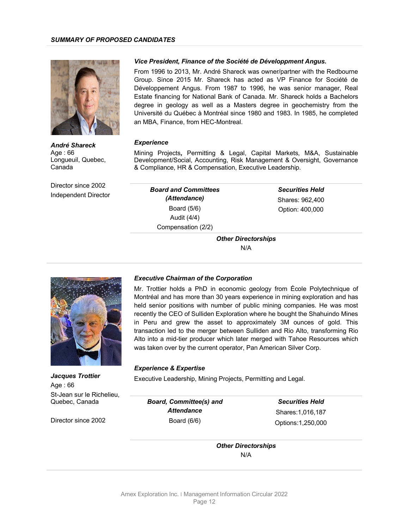

*Vice President, Finance of the Société de Développment Angus.*

From 1996 to 2013, Mr. André Shareck was owner/partner with the Redbourne Group. Since 2015 Mr. Shareck has acted as VP Finance for Société de Développement Angus. From 1987 to 1996, he was senior manager, Real Estate financing for National Bank of Canada. Mr. Shareck holds a Bachelors degree in geology as well as a Masters degree in geochemistry from the Université du Québec à Montréal since 1980 and 1983. In 1985, he completed an MBA, Finance, from HEC-Montreal.

#### *Experience*

Mining Projects*,* Permitting & Legal, Capital Markets, M&A, Sustainable Development/Social, Accounting, Risk Management & Oversight, Governance & Compliance, HR & Compensation, Executive Leadership.

Canada Director since 2002

Longueuil, Quebec,

*André Shareck* 

Age : 66

Independent Director

*Board and Committees (Attendance)* Board (5/6) Audit (4/4) Compensation (2/2)

*Securities Held* Shares: 962,400 Option: 400,000

*Other Directorships* N/A



*Jacques Trottier* Age : 66 St-Jean sur le Richelieu, Quebec, Canada

Director since 2002

#### *Executive Chairman of the Corporation*

Mr. Trottier holds a PhD in economic geology from École Polytechnique of Montréal and has more than 30 years experience in mining exploration and has held senior positions with number of public mining companies. He was most recently the CEO of Sulliden Exploration where he bought the Shahuindo Mines in Peru and grew the asset to approximately 3M ounces of gold. This transaction led to the merger between Sulliden and Rio Alto, transforming Rio Alto into a mid-tier producer which later merged with Tahoe Resources which was taken over by the current operator, Pan American Silver Corp.

#### *Experience & Expertise*

Executive Leadership, Mining Projects, Permitting and Legal.

*Board, Committee(s) and Attendance* Board (6/6)

*Securities Held* Shares:1,016,187 Options:1,250,000

*Other Directorships* N/A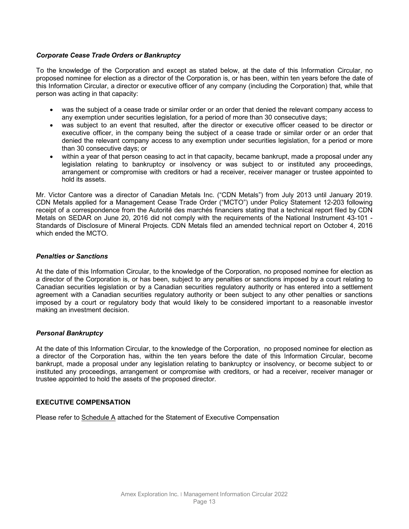# *Corporate Cease Trade Orders or Bankruptcy*

To the knowledge of the Corporation and except as stated below, at the date of this Information Circular, no proposed nominee for election as a director of the Corporation is, or has been, within ten years before the date of this Information Circular, a director or executive officer of any company (including the Corporation) that, while that person was acting in that capacity:

- was the subject of a cease trade or similar order or an order that denied the relevant company access to any exemption under securities legislation, for a period of more than 30 consecutive days;
- was subject to an event that resulted, after the director or executive officer ceased to be director or executive officer, in the company being the subject of a cease trade or similar order or an order that denied the relevant company access to any exemption under securities legislation, for a period or more than 30 consecutive days; or
- within a year of that person ceasing to act in that capacity, became bankrupt, made a proposal under any legislation relating to bankruptcy or insolvency or was subject to or instituted any proceedings, arrangement or compromise with creditors or had a receiver, receiver manager or trustee appointed to hold its assets.

Mr. Victor Cantore was a director of Canadian Metals Inc. ("CDN Metals") from July 2013 until January 2019. CDN Metals applied for a Management Cease Trade Order ("MCTO") under Policy Statement 12-203 following receipt of a correspondence from the Autorité des marchés financiers stating that a technical report filed by CDN Metals on SEDAR on June 20, 2016 did not comply with the requirements of the National Instrument 43-101 - Standards of Disclosure of Mineral Projects. CDN Metals filed an amended technical report on October 4, 2016 which ended the MCTO.

#### *Penalties or Sanctions*

At the date of this Information Circular, to the knowledge of the Corporation, no proposed nominee for election as a director of the Corporation is, or has been, subject to any penalties or sanctions imposed by a court relating to Canadian securities legislation or by a Canadian securities regulatory authority or has entered into a settlement agreement with a Canadian securities regulatory authority or been subject to any other penalties or sanctions imposed by a court or regulatory body that would likely to be considered important to a reasonable investor making an investment decision.

#### *Personal Bankruptcy*

At the date of this Information Circular, to the knowledge of the Corporation, no proposed nominee for election as a director of the Corporation has, within the ten years before the date of this Information Circular, become bankrupt, made a proposal under any legislation relating to bankruptcy or insolvency, or become subject to or instituted any proceedings, arrangement or compromise with creditors, or had a receiver, receiver manager or trustee appointed to hold the assets of the proposed director.

#### **EXECUTIVE COMPENSATION**

Please refer to Schedule A attached for the Statement of Executive Compensation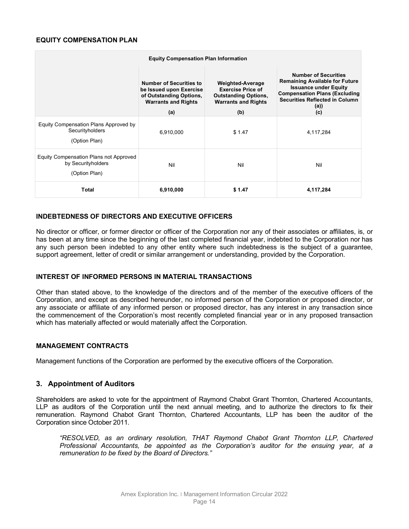#### **EQUITY COMPENSATION PLAN**

| <b>Equity Compensation Plan Information</b>                                   |                                                                                                                    |                                                                                                                  |                                                                                                                                                                                               |  |  |
|-------------------------------------------------------------------------------|--------------------------------------------------------------------------------------------------------------------|------------------------------------------------------------------------------------------------------------------|-----------------------------------------------------------------------------------------------------------------------------------------------------------------------------------------------|--|--|
|                                                                               | <b>Number of Securities to</b><br>be Issued upon Exercise<br>of Outstanding Options,<br><b>Warrants and Rights</b> | <b>Weighted-Average</b><br><b>Exercise Price of</b><br><b>Outstanding Options,</b><br><b>Warrants and Rights</b> | <b>Number of Securities</b><br><b>Remaining Available for Future</b><br><b>Issuance under Equity</b><br><b>Compensation Plans (Excluding</b><br><b>Securities Reflected in Column</b><br>(a)) |  |  |
|                                                                               | (a)                                                                                                                | (b)                                                                                                              | (c)                                                                                                                                                                                           |  |  |
| Equity Compensation Plans Approved by<br>Securityholders<br>(Option Plan)     | 6,910,000                                                                                                          | \$1.47                                                                                                           | 4,117,284                                                                                                                                                                                     |  |  |
| Equity Compensation Plans not Approved<br>by Securityholders<br>(Option Plan) | Nil                                                                                                                | Nil                                                                                                              | Nil                                                                                                                                                                                           |  |  |
| <b>Total</b>                                                                  | 6,910,000                                                                                                          | \$ 1.47                                                                                                          | 4,117,284                                                                                                                                                                                     |  |  |

### **INDEBTEDNESS OF DIRECTORS AND EXECUTIVE OFFICERS**

No director or officer, or former director or officer of the Corporation nor any of their associates or affiliates, is, or has been at any time since the beginning of the last completed financial year, indebted to the Corporation nor has any such person been indebted to any other entity where such indebtedness is the subject of a guarantee, support agreement, letter of credit or similar arrangement or understanding, provided by the Corporation.

#### **INTEREST OF INFORMED PERSONS IN MATERIAL TRANSACTIONS**

Other than stated above, to the knowledge of the directors and of the member of the executive officers of the Corporation, and except as described hereunder, no informed person of the Corporation or proposed director, or any associate or affiliate of any informed person or proposed director, has any interest in any transaction since the commencement of the Corporation's most recently completed financial year or in any proposed transaction which has materially affected or would materially affect the Corporation.

#### **MANAGEMENT CONTRACTS**

Management functions of the Corporation are performed by the executive officers of the Corporation.

# **3. Appointment of Auditors**

Shareholders are asked to vote for the appointment of Raymond Chabot Grant Thornton, Chartered Accountants, LLP as auditors of the Corporation until the next annual meeting, and to authorize the directors to fix their remuneration. Raymond Chabot Grant Thornton, Chartered Accountants, LLP has been the auditor of the Corporation since October 2011.

*"RESOLVED, as an ordinary resolution, THAT Raymond Chabot Grant Thornton LLP, Chartered Professional Accountants, be appointed as the Corporation's auditor for the ensuing year, at a remuneration to be fixed by the Board of Directors."*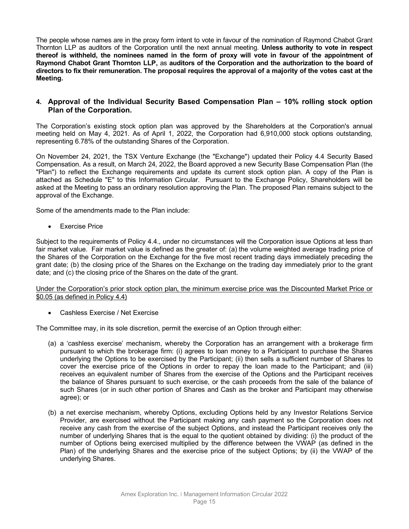The people whose names are in the proxy form intent to vote in favour of the nomination of Raymond Chabot Grant Thornton LLP as auditors of the Corporation until the next annual meeting. **Unless authority to vote in respect thereof is withheld, the nominees named in the form of proxy will vote in favour of the appointment of Raymond Chabot Grant Thornton LLP,** as **auditors of the Corporation and the authorization to the board of directors to fix their remuneration. The proposal requires the approval of a majority of the votes cast at the Meeting.**

# **4. Approval of the Individual Security Based Compensation Plan – 10% rolling stock option Plan of the Corporation.**

The Corporation's existing stock option plan was approved by the Shareholders at the Corporation's annual meeting held on May 4, 2021. As of April 1, 2022, the Corporation had 6,910,000 stock options outstanding, representing 6.78% of the outstanding Shares of the Corporation.

On November 24, 2021, the TSX Venture Exchange (the "Exchange") updated their Policy 4.4 Security Based Compensation. As a result, on March 24, 2022, the Board approved a new Security Base Compensation Plan (the "Plan") to reflect the Exchange requirements and update its current stock option plan. A copy of the Plan is attached as Schedule "E" to this Information Circular. Pursuant to the Exchange Policy, Shareholders will be asked at the Meeting to pass an ordinary resolution approving the Plan. The proposed Plan remains subject to the approval of the Exchange.

Some of the amendments made to the Plan include:

• Exercise Price

Subject to the requirements of Policy 4.4., under no circumstances will the Corporation issue Options at less than fair market value. Fair market value is defined as the greater of: (a) the volume weighted average trading price of the Shares of the Corporation on the Exchange for the five most recent trading days immediately preceding the grant date; (b) the closing price of the Shares on the Exchange on the trading day immediately prior to the grant date; and (c) the closing price of the Shares on the date of the grant.

Under the Corporation's prior stock option plan, the minimum exercise price was the Discounted Market Price or \$0.05 (as defined in Policy 4.4)

• Cashless Exercise / Net Exercise

The Committee may, in its sole discretion, permit the exercise of an Option through either:

- (a) a 'cashless exercise' mechanism, whereby the Corporation has an arrangement with a brokerage firm pursuant to which the brokerage firm: (i) agrees to loan money to a Participant to purchase the Shares underlying the Options to be exercised by the Participant; (ii) then sells a sufficient number of Shares to cover the exercise price of the Options in order to repay the loan made to the Participant; and (iii) receives an equivalent number of Shares from the exercise of the Options and the Participant receives the balance of Shares pursuant to such exercise, or the cash proceeds from the sale of the balance of such Shares (or in such other portion of Shares and Cash as the broker and Participant may otherwise agree); or
- (b) a net exercise mechanism, whereby Options, excluding Options held by any Investor Relations Service Provider, are exercised without the Participant making any cash payment so the Corporation does not receive any cash from the exercise of the subject Options, and instead the Participant receives only the number of underlying Shares that is the equal to the quotient obtained by dividing: (i) the product of the number of Options being exercised multiplied by the difference between the VWAP (as defined in the Plan) of the underlying Shares and the exercise price of the subject Options; by (ii) the VWAP of the underlying Shares.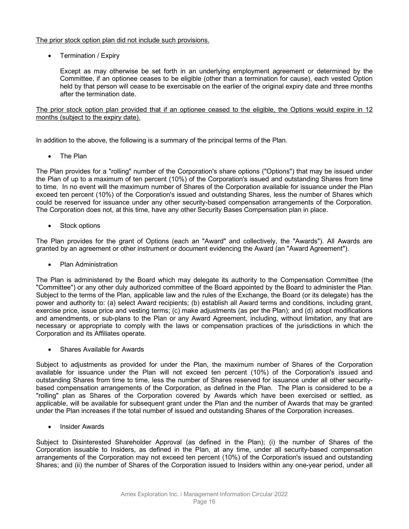The prior stock option plan did not include such provisions.

• Termination / Expiry

Except as may otherwise be set forth in an underlying employment agreement or determined by the Committee, if an optionee ceases to be eligible (other than a termination for cause), each vested Option held by that person will cease to be exercisable on the earlier of the original expiry date and three months after the termination date.

The prior stock option plan provided that if an optionee ceased to the eligible, the Options would expire in 12 months (subject to the expiry date).

In addition to the above, the following is a summary of the principal terms of the Plan.

• The Plan

The Plan provides for a "rolling" number of the Corporation's share options ("Options") that may be issued under the Plan of up to a maximum of ten percent (10%) of the Corporation's issued and outstanding Shares from time to time. In no event will the maximum number of Shares of the Corporation available for issuance under the Plan exceed ten percent (10%) of the Corporation's issued and outstanding Shares, less the number of Shares which could be reserved for issuance under any other security-based compensation arrangements of the Corporation. The Corporation does not, at this time, have any other Security Bases Compensation plan in place.

Stock options

The Plan provides for the grant of Options (each an "Award" and collectively, the "Awards"). All Awards are granted by an agreement or other instrument or document evidencing the Award (an "Award Agreement").

• Plan Administration

The Plan is administered by the Board which may delegate its authority to the Compensation Committee (the "Committee") or any other duly authorized committee of the Board appointed by the Board to administer the Plan. Subject to the terms of the Plan, applicable law and the rules of the Exchange, the Board (or its delegate) has the power and authority to: (a) select Award recipients; (b) establish all Award terms and conditions, including grant, exercise price, issue price and vesting terms; (c) make adjustments (as per the Plan); and (d) adopt modifications and amendments, or sub-plans to the Plan or any Award Agreement, including, without limitation, any that are necessary or appropriate to comply with the laws or compensation practices of the jurisdictions in which the Corporation and its Affiliates operate.

Shares Available for Awards

Subject to adjustments as provided for under the Plan, the maximum number of Shares of the Corporation available for issuance under the Plan will not exceed ten percent (10%) of the Corporation's issued and outstanding Shares from time to time, less the number of Shares reserved for issuance under all other securitybased compensation arrangements of the Corporation, as defined in the Plan. The Plan is considered to be a "rolling" plan as Shares of the Corporation covered by Awards which have been exercised or settled, as applicable, will be available for subsequent grant under the Plan and the number of Awards that may be granted under the Plan increases if the total number of issued and outstanding Shares of the Corporation increases.

• Insider Awards

Subject to Disinterested Shareholder Approval (as defined in the Plan); (i) the number of Shares of the Corporation issuable to Insiders, as defined in the Plan, at any time, under all security-based compensation arrangements of the Corporation may not exceed ten percent (10%) of the Corporation's issued and outstanding Shares; and (ii) the number of Shares of the Corporation issued to Insiders within any one-year period, under all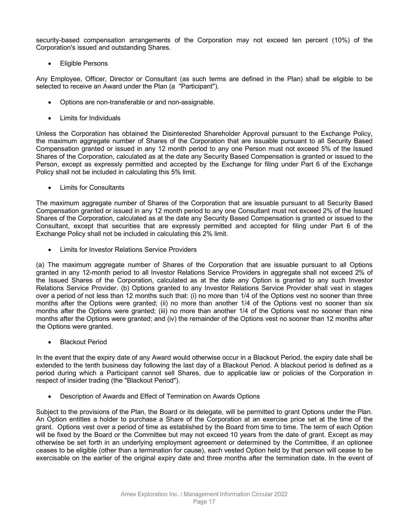security-based compensation arrangements of the Corporation may not exceed ten percent (10%) of the Corporation's issued and outstanding Shares.

**Eligible Persons** 

Any Employee, Officer, Director or Consultant (as such terms are defined in the Plan) shall be eligible to be selected to receive an Award under the Plan (a "Participant").

- Options are non-transferable or and non-assignable.
- Limits for Individuals

Unless the Corporation has obtained the Disinterested Shareholder Approval pursuant to the Exchange Policy, the maximum aggregate number of Shares of the Corporation that are issuable pursuant to all Security Based Compensation granted or issued in any 12 month period to any one Person must not exceed 5% of the Issued Shares of the Corporation, calculated as at the date any Security Based Compensation is granted or issued to the Person, except as expressly permitted and accepted by the Exchange for filing under Part 6 of the Exchange Policy shall not be included in calculating this 5% limit.

**Limits for Consultants** 

The maximum aggregate number of Shares of the Corporation that are issuable pursuant to all Security Based Compensation granted or issued in any 12 month period to any one Consultant must not exceed 2% of the Issued Shares of the Corporation, calculated as at the date any Security Based Compensation is granted or issued to the Consultant, except that securities that are expressly permitted and accepted for filing under Part 6 of the Exchange Policy shall not be included in calculating this 2% limit.

Limits for Investor Relations Service Providers

(a) The maximum aggregate number of Shares of the Corporation that are issuable pursuant to all Options granted in any 12-month period to all Investor Relations Service Providers in aggregate shall not exceed 2% of the Issued Shares of the Corporation, calculated as at the date any Option is granted to any such Investor Relations Service Provider. (b) Options granted to any Investor Relations Service Provider shall vest in stages over a period of not less than 12 months such that: (i) no more than 1/4 of the Options vest no sooner than three months after the Options were granted; (ii) no more than another 1/4 of the Options vest no sooner than six months after the Options were granted; (iii) no more than another 1/4 of the Options vest no sooner than nine months after the Options were granted; and (iv) the remainder of the Options vest no sooner than 12 months after the Options were granted.

**Blackout Period** 

In the event that the expiry date of any Award would otherwise occur in a Blackout Period, the expiry date shall be extended to the tenth business day following the last day of a Blackout Period. A blackout period is defined as a period during which a Participant cannot sell Shares, due to applicable law or policies of the Corporation in respect of insider trading (the "Blackout Period").

• Description of Awards and Effect of Termination on Awards Options

Subject to the provisions of the Plan, the Board or its delegate, will be permitted to grant Options under the Plan. An Option entitles a holder to purchase a Share of the Corporation at an exercise price set at the time of the grant. Options vest over a period of time as established by the Board from time to time. The term of each Option will be fixed by the Board or the Committee but may not exceed 10 years from the date of grant. Except as may otherwise be set forth in an underlying employment agreement or determined by the Committee, if an optionee ceases to be eligible (other than a termination for cause), each vested Option held by that person will cease to be exercisable on the earlier of the original expiry date and three months after the termination date. In the event of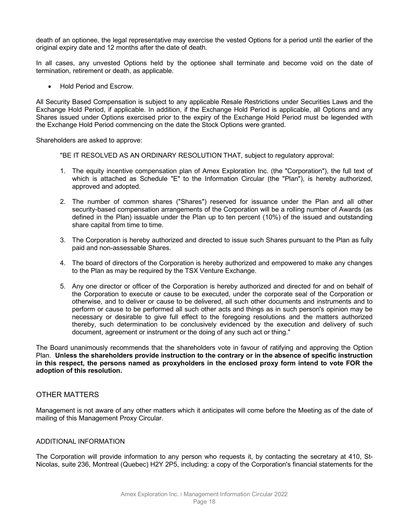death of an optionee, the legal representative may exercise the vested Options for a period until the earlier of the original expiry date and 12 months after the date of death.

In all cases, any unvested Options held by the optionee shall terminate and become void on the date of termination, retirement or death, as applicable.

• Hold Period and Escrow.

All Security Based Compensation is subject to any applicable Resale Restrictions under Securities Laws and the Exchange Hold Period, if applicable. In addition, if the Exchange Hold Period is applicable, all Options and any Shares issued under Options exercised prior to the expiry of the Exchange Hold Period must be legended with the Exchange Hold Period commencing on the date the Stock Options were granted.

Shareholders are asked to approve:

"BE IT RESOLVED AS AN ORDINARY RESOLUTION THAT, subject to regulatory approval:

- 1. The equity incentive compensation plan of Amex Exploration Inc. (the "Corporation"), the full text of which is attached as Schedule "E" to the Information Circular (the "Plan"), is hereby authorized, approved and adopted.
- 2. The number of common shares ("Shares") reserved for issuance under the Plan and all other security-based compensation arrangements of the Corporation will be a rolling number of Awards (as defined in the Plan) issuable under the Plan up to ten percent (10%) of the issued and outstanding share capital from time to time.
- 3. The Corporation is hereby authorized and directed to issue such Shares pursuant to the Plan as fully paid and non-assessable Shares.
- 4. The board of directors of the Corporation is hereby authorized and empowered to make any changes to the Plan as may be required by the TSX Venture Exchange.
- 5. Any one director or officer of the Corporation is hereby authorized and directed for and on behalf of the Corporation to execute or cause to be executed, under the corporate seal of the Corporation or otherwise, and to deliver or cause to be delivered, all such other documents and instruments and to perform or cause to be performed all such other acts and things as in such person's opinion may be necessary or desirable to give full effect to the foregoing resolutions and the matters authorized thereby, such determination to be conclusively evidenced by the execution and delivery of such document, agreement or instrument or the doing of any such act or thing."

The Board unanimously recommends that the shareholders vote in favour of ratifying and approving the Option Plan. **Unless the shareholders provide instruction to the contrary or in the absence of specific instruction in this respect, the persons named as proxyholders in the enclosed proxy form intend to vote FOR the adoption of this resolution.**

# OTHER MATTERS

Management is not aware of any other matters which it anticipates will come before the Meeting as of the date of mailing of this Management Proxy Circular.

#### ADDITIONAL INFORMATION

The Corporation will provide information to any person who requests it, by contacting the secretary at 410, St-Nicolas, suite 236, Montreal (Quebec) H2Y 2P5, including: a copy of the Corporation's financial statements for the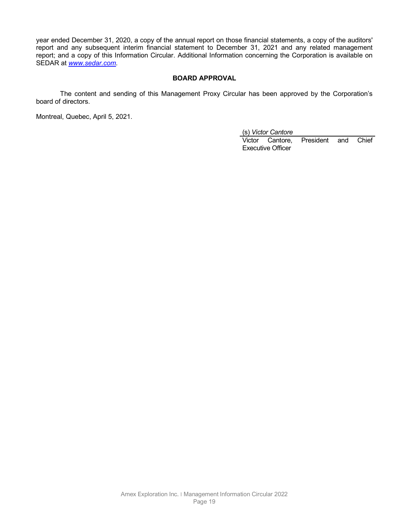year ended December 31, 2020, a copy of the annual report on those financial statements, a copy of the auditors' report and any subsequent interim financial statement to December 31, 2021 and any related management report; and a copy of this Information Circular. Additional Information concerning the Corporation is available on SEDAR at *www.sedar.com*.

### **BOARD APPROVAL**

The content and sending of this Management Proxy Circular has been approved by the Corporation's board of directors.

Montreal, Quebec, April 5, 2021.

(s) *Victor Cantore*

Victor Cantore, President and Chief Executive Officer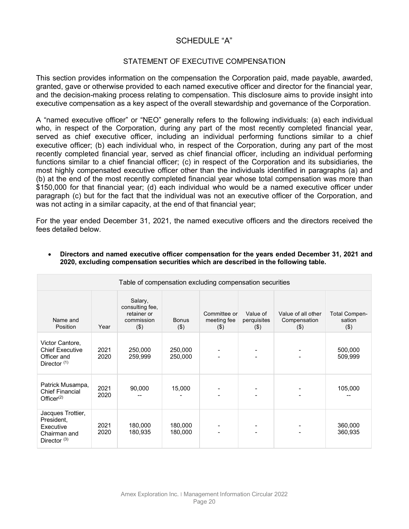# SCHEDULE "A"

# STATEMENT OF EXECUTIVE COMPENSATION

This section provides information on the compensation the Corporation paid, made payable, awarded, granted, gave or otherwise provided to each named executive officer and director for the financial year, and the decision-making process relating to compensation. This disclosure aims to provide insight into executive compensation as a key aspect of the overall stewardship and governance of the Corporation.

A "named executive officer" or "NEO" generally refers to the following individuals: (a) each individual who, in respect of the Corporation, during any part of the most recently completed financial year, served as chief executive officer, including an individual performing functions similar to a chief executive officer; (b) each individual who, in respect of the Corporation, during any part of the most recently completed financial year, served as chief financial officer, including an individual performing functions similar to a chief financial officer; (c) in respect of the Corporation and its subsidiaries, the most highly compensated executive officer other than the individuals identified in paragraphs (a) and (b) at the end of the most recently completed financial year whose total compensation was more than \$150,000 for that financial year; (d) each individual who would be a named executive officer under paragraph (c) but for the fact that the individual was not an executive officer of the Corporation, and was not acting in a similar capacity, at the end of that financial year;

For the year ended December 31, 2021, the named executive officers and the directors received the fees detailed below.

| Table of compensation excluding compensation securities                             |              |                                                                    |                         |                                        |                                    |                                               |                                           |
|-------------------------------------------------------------------------------------|--------------|--------------------------------------------------------------------|-------------------------|----------------------------------------|------------------------------------|-----------------------------------------------|-------------------------------------------|
| Name and<br>Position                                                                | Year         | Salary,<br>consulting fee,<br>retainer or<br>commission<br>$($ \$) | <b>Bonus</b><br>$($ \$) | Committee or<br>meeting fee<br>$($ \$) | Value of<br>perquisites<br>$($ \$) | Value of all other<br>Compensation<br>$($ \$) | <b>Total Compen-</b><br>sation<br>$($ \$) |
| Victor Cantore,<br><b>Chief Executive</b><br>Officer and<br>Director <sup>(1)</sup> | 2021<br>2020 | 250,000<br>259,999                                                 | 250,000<br>250,000      |                                        |                                    |                                               | 500,000<br>509,999                        |
| Patrick Musampa,<br><b>Chief Financial</b><br>Officer $(2)$                         | 2021<br>2020 | 90,000                                                             | 15,000                  |                                        |                                    |                                               | 105,000                                   |
| Jacques Trottier,<br>President,<br>Executive<br>Chairman and<br>Director $(3)$      | 2021<br>2020 | 180,000<br>180,935                                                 | 180,000<br>180,000      |                                        |                                    |                                               | 360,000<br>360,935                        |

• **Directors and named executive officer compensation for the years ended December 31, 2021 and 2020, excluding compensation securities which are described in the following table.**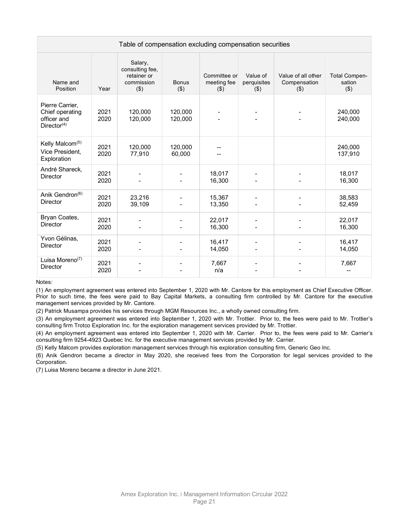| Table of compensation excluding compensation securities                      |              |                                                                    |                         |                                        |                                    |                                               |                                       |
|------------------------------------------------------------------------------|--------------|--------------------------------------------------------------------|-------------------------|----------------------------------------|------------------------------------|-----------------------------------------------|---------------------------------------|
| Name and<br>Position                                                         | Year         | Salary,<br>consulting fee,<br>retainer or<br>commission<br>$($ \$) | <b>Bonus</b><br>$($ \$) | Committee or<br>meeting fee<br>$($ \$) | Value of<br>perquisites<br>$($ \$) | Value of all other<br>Compensation<br>$($ \$) | <b>Total Compen-</b><br>sation<br>(3) |
| Pierre Carrier,<br>Chief operating<br>officer and<br>Director <sup>(4)</sup> | 2021<br>2020 | 120,000<br>120,000                                                 | 120,000<br>120,000      |                                        |                                    |                                               | 240.000<br>240,000                    |
| Kelly Malcom <sup>(5)</sup><br>Vice President,<br>Exploration                | 2021<br>2020 | 120,000<br>77,910                                                  | 120,000<br>60,000       |                                        |                                    |                                               | 240,000<br>137,910                    |
| André Shareck,<br><b>Director</b>                                            | 2021<br>2020 |                                                                    |                         | 18,017<br>16,300                       |                                    |                                               | 18,017<br>16,300                      |
| Anik Gendron <sup>(6)</sup><br><b>Director</b>                               | 2021<br>2020 | 23,216<br>39,109                                                   |                         | 15,367<br>13,350                       |                                    |                                               | 38,583<br>52,459                      |
| Bryan Coates,<br><b>Director</b>                                             | 2021<br>2020 |                                                                    |                         | 22,017<br>16,300                       |                                    |                                               | 22,017<br>16,300                      |
| Yvon Gélinas,<br><b>Director</b>                                             | 2021<br>2020 |                                                                    |                         | 16,417<br>14,050                       |                                    |                                               | 16,417<br>14,050                      |
| Luisa Moreno $(7)$<br><b>Director</b>                                        | 2021<br>2020 |                                                                    |                         | 7,667<br>n/a                           |                                    |                                               | 7,667                                 |

Notes:

(1) An employment agreement was entered into September 1, 2020 with Mr. Cantore for this employment as Chief Executive Officer. Prior to such time, the fees were paid to Bay Capital Markets, a consulting firm controlled by Mr. Cantore for the executive management services provided by Mr. Cantore.

(2) Patrick Musampa provides his services through MGM Resources Inc., a wholly owned consulting firm.

(3) An employment agreement was entered into September 1, 2020 with Mr. Trottier. Prior to, the fees were paid to Mr. Trottier's consulting firm Trotco Exploration Inc. for the exploration management services provided by Mr. Trottier.

(4) An employment agreement was entered into September 1, 2020 with Mr. Carrier. Prior to, the fees were paid to Mr. Carrier's consulting firm 9254-4923 Quebec Inc. for the executive management services provided by Mr. Carrier.

(5) Kelly Malcom provides exploration management services through his exploration consulting firm, Generic Geo Inc.

(6) Anik Gendron became a director in May 2020, she received fees from the Corporation for legal services provided to the Corporation.

(7) Luisa Moreno became a director in June 2021.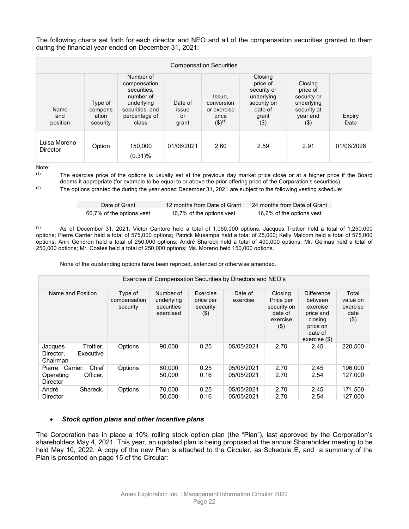The following charts set forth for each director and NEO and all of the compensation securities granted to them during the financial year ended on December 31, 2021:

|                                 |                                         |                                                                                                                  |                                 | <b>Compensation Securities</b>                                         |                                                                                               |                                                                                        |                       |
|---------------------------------|-----------------------------------------|------------------------------------------------------------------------------------------------------------------|---------------------------------|------------------------------------------------------------------------|-----------------------------------------------------------------------------------------------|----------------------------------------------------------------------------------------|-----------------------|
| Name<br>and<br>position         | Type of<br>compens<br>ation<br>security | Number of<br>compensation<br>securities.<br>number of<br>underlying<br>securities, and<br>percentage of<br>class | Date of<br>issue<br>or<br>grant | Issue,<br>conversion<br>or exercise<br>price<br>$($ \$) <sup>(1)</sup> | Closing<br>price of<br>security or<br>underlying<br>security on<br>date of<br>grant<br>$($ \$ | Closing<br>price of<br>security or<br>underlying<br>security at<br>year end<br>$($ \$) | <b>Expiry</b><br>Date |
| Luisa Moreno<br><b>Director</b> | Option                                  | 150,000<br>$(0.31)\%$                                                                                            | 01/06/2021                      | 2.60                                                                   | 2.59                                                                                          | 2.91                                                                                   | 01/06/2026            |

Note:

(1) The exercise price of the options is usually set at the previous day market price close or at a higher price if the Board deems it appropriate (for example to be equal to or above the prior offering price of the Corporation's securities).

 $(2)$  The options granted the during the year ended December 31, 2021 are subject to the following vesting schedule:

| Date of Grant             | 12 months from Date of Grant | 24 months from Date of Grant |
|---------------------------|------------------------------|------------------------------|
| 66,7% of the options vest | 16,7% of the options vest    | 16,6% of the options vest    |

 $(3)$  As of December 31, 2021: Victor Cantore held a total of 1,050,000 options; Jacques Trottier held a total of 1,250,000 options; Pierre Carrier held a total of 575,000 options; Patrick Musampa held a total of 25,000; Kelly Malcom held a total of 575,000 options; Anik Gendron held a total of 250,000 options; André Shareck held a total of 400,000 options; Mr. Gélinas held a total of 250,000 options; Mr. Coates held a total of 250,000 options; Ms. Moreno held 150,000 options.

None of the outstanding options have been repriced, extended or otherwise amended.

| Exercise of Compensation Securities by Directors and NEO's              |                                     |                                                    |                                             |                          |                                                                       |                                                                                                            |                                                  |  |
|-------------------------------------------------------------------------|-------------------------------------|----------------------------------------------------|---------------------------------------------|--------------------------|-----------------------------------------------------------------------|------------------------------------------------------------------------------------------------------------|--------------------------------------------------|--|
| Name and Position                                                       | Type of<br>compensation<br>security | Number of<br>underlying<br>securities<br>exercised | Exercise<br>price per<br>security<br>$(\$)$ | Date of<br>exercise      | Closing<br>Price per<br>security on<br>date of<br>exercise<br>$($ \$) | <b>Difference</b><br>between<br>exercise<br>price and<br>closing<br>price on<br>date of<br>$exercise$ (\$) | Total<br>value on<br>exercise<br>date<br>$($ \$) |  |
| Trottier.<br>Jacques<br>Executive<br>Director.<br>Chairman              | Options                             | 90.000                                             | 0.25                                        | 05/05/2021               | 2.70                                                                  | 2.45                                                                                                       | 220,500                                          |  |
| Chief<br>Carrier.<br>Pierre<br>Officer,<br>Operating<br><b>Director</b> | Options                             | 80,000<br>50.000                                   | 0.25<br>0.16                                | 05/05/2021<br>05/05/2021 | 2.70<br>2.70                                                          | 2.45<br>2.54                                                                                               | 196.000<br>127.000                               |  |
| André<br>Shareck.<br><b>Director</b>                                    | Options                             | 70,000<br>50.000                                   | 0.25<br>0.16                                | 05/05/2021<br>05/05/2021 | 2.70<br>2.70                                                          | 2.45<br>2.54                                                                                               | 171,500<br>127.000                               |  |

#### • *Stock option plans and other incentive plans*

The Corporation has in place a 10% rolling stock option plan (the "Plan"), last approved by the Corporation's shareholders May 4, 2021. This year, an updated plan is being proposed at the annual Shareholder meeting to be held May 10, 2022. A copy of the new Plan is attached to the Circular, as Schedule E, and a summary of the Plan is presented on page 15 of the Circular: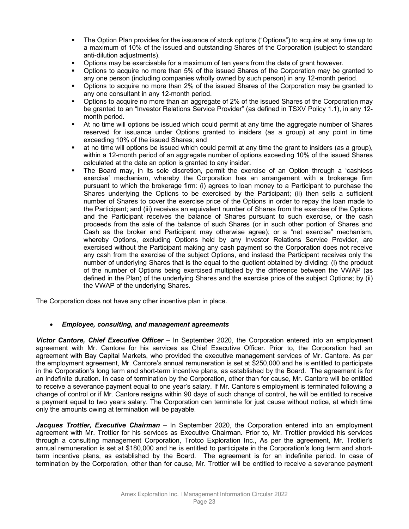- The Option Plan provides for the issuance of stock options ("Options") to acquire at any time up to a maximum of 10% of the issued and outstanding Shares of the Corporation (subject to standard anti-dilution adjustments).
- Options may be exercisable for a maximum of ten years from the date of grant however.
- Options to acquire no more than 5% of the issued Shares of the Corporation may be granted to any one person (including companies wholly owned by such person) in any 12-month period.
- Options to acquire no more than 2% of the issued Shares of the Corporation may be granted to any one consultant in any 12-month period.
- **D** Options to acquire no more than an aggregate of 2% of the issued Shares of the Corporation may be granted to an "Investor Relations Service Provider" (as defined in TSXV Policy 1.1), in any 12 month period.
- At no time will options be issued which could permit at any time the aggregate number of Shares reserved for issuance under Options granted to insiders (as a group) at any point in time exceeding 10% of the issued Shares; and
- at no time will options be issued which could permit at any time the grant to insiders (as a group), within a 12-month period of an aggregate number of options exceeding 10% of the issued Shares calculated at the date an option is granted to any insider.
- The Board may, in its sole discretion, permit the exercise of an Option through a 'cashless exercise' mechanism, whereby the Corporation has an arrangement with a brokerage firm pursuant to which the brokerage firm: (i) agrees to loan money to a Participant to purchase the Shares underlying the Options to be exercised by the Participant; (ii) then sells a sufficient number of Shares to cover the exercise price of the Options in order to repay the loan made to the Participant; and (iii) receives an equivalent number of Shares from the exercise of the Options and the Participant receives the balance of Shares pursuant to such exercise, or the cash proceeds from the sale of the balance of such Shares (or in such other portion of Shares and Cash as the broker and Participant may otherwise agree); or a "net exercise" mechanism, whereby Options, excluding Options held by any Investor Relations Service Provider, are exercised without the Participant making any cash payment so the Corporation does not receive any cash from the exercise of the subject Options, and instead the Participant receives only the number of underlying Shares that is the equal to the quotient obtained by dividing: (i) the product of the number of Options being exercised multiplied by the difference between the VWAP (as defined in the Plan) of the underlying Shares and the exercise price of the subject Options; by (ii) the VWAP of the underlying Shares.

The Corporation does not have any other incentive plan in place.

# • *Employee, consulting, and management agreements*

*Victor Cantore, Chief Executive Officer* – In September 2020, the Corporation entered into an employment agreement with Mr. Cantore for his services as Chief Executive Officer. Prior to, the Corporation had an agreement with Bay Capital Markets, who provided the executive management services of Mr. Cantore. As per the employment agreement, Mr. Cantore's annual remuneration is set at \$250,000 and he is entitled to participate in the Corporation's long term and short-term incentive plans, as established by the Board. The agreement is for an indefinite duration. In case of termination by the Corporation, other than for cause, Mr. Cantore will be entitled to receive a severance payment equal to one year's salary. If Mr. Cantore's employment is terminated following a change of control or if Mr. Cantore resigns within 90 days of such change of control, he will be entitled to receive a payment equal to two years salary. The Corporation can terminate for just cause without notice, at which time only the amounts owing at termination will be payable.

*Jacques Trottier, Executive Chairman* – In September 2020, the Corporation entered into an employment agreement with Mr. Trottier for his services as Executive Chairman. Prior to, Mr. Trottier provided his services through a consulting management Corporation, Trotco Exploration Inc., As per the agreement, Mr. Trottier's annual remuneration is set at \$180,000 and he is entitled to participate in the Corporation's long term and shortterm incentive plans, as established by the Board. The agreement is for an indefinite period. In case of termination by the Corporation, other than for cause, Mr. Trottier will be entitled to receive a severance payment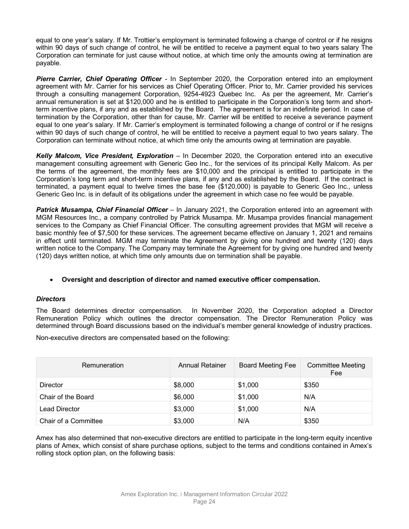equal to one year's salary. If Mr. Trottier's employment is terminated following a change of control or if he resigns within 90 days of such change of control, he will be entitled to receive a payment equal to two years salary The Corporation can terminate for just cause without notice, at which time only the amounts owing at termination are payable.

*Pierre Carrier, Chief Operating Officer -* In September 2020, the Corporation entered into an employment agreement with Mr. Carrier for his services as Chief Operating Officer. Prior to, Mr. Carrier provided his services through a consulting management Corporation, 9254-4923 Quebec Inc. As per the agreement, Mr. Carrier's annual remuneration is set at \$120,000 and he is entitled to participate in the Corporation's long term and shortterm incentive plans, if any and as established by the Board. The agreement is for an indefinite period. In case of termination by the Corporation, other than for cause, Mr. Carrier will be entitled to receive a severance payment equal to one year's salary. If Mr. Carrier's employment is terminated following a change of control or if he resigns within 90 days of such change of control, he will be entitled to receive a payment equal to two years salary. The Corporation can terminate without notice, at which time only the amounts owing at termination are payable.

*Kelly Malcom, Vice President, Exploration* – In December 2020, the Corporation entered into an executive management consulting agreement with Generic Geo Inc., for the services of its principal Kelly Malcom. As per the terms of the agreement, the monthly fees are \$10,000 and the principal is entitled to participate in the Corporation's long term and short-term incentive plans, if any and as established by the Board. If the contract is terminated, a payment equal to twelve times the base fee (\$120,000) is payable to Generic Geo Inc., unless Generic Geo Inc. is in default of its obligations under the agreement in which case no fee would be payable.

*Patrick Musampa, Chief Financial Officer* – In January 2021, the Corporation entered into an agreement with MGM Resources Inc., a company controlled by Patrick Musampa. Mr. Musampa provides financial management services to the Company as Chief Financial Officer. The consulting agreement provides that MGM will receive a basic monthly fee of \$7,500 for these services. The agreement became effective on January 1, 2021 and remains in effect until terminated. MGM may terminate the Agreement by giving one hundred and twenty (120) days written notice to the Company. The Company may terminate the Agreement for by giving one hundred and twenty (120) days written notice, at which time only amounts due on termination shall be payable.

# • **Oversight and description of director and named executive officer compensation.**

#### *Directors*

The Board determines director compensation. In November 2020, the Corporation adopted a Director Remuneration Policy which outlines the director compensation. The Director Remuneration Policy was determined through Board discussions based on the individual's member general knowledge of industry practices.

Non-executive directors are compensated based on the following:

| Remuneration         | Annual Retainer | <b>Board Meeting Fee</b> | <b>Committee Meeting</b><br>Fee |
|----------------------|-----------------|--------------------------|---------------------------------|
| <b>Director</b>      | \$8,000         | \$1,000                  | \$350                           |
| Chair of the Board   | \$6,000         | \$1,000                  | N/A                             |
| Lead Director        | \$3,000         | \$1,000                  | N/A                             |
| Chair of a Committee | \$3,000         | N/A                      | \$350                           |

Amex has also determined that non-executive directors are entitled to participate in the long-term equity incentive plans of Amex, which consist of share purchase options, subject to the terms and conditions contained in Amex's rolling stock option plan, on the following basis: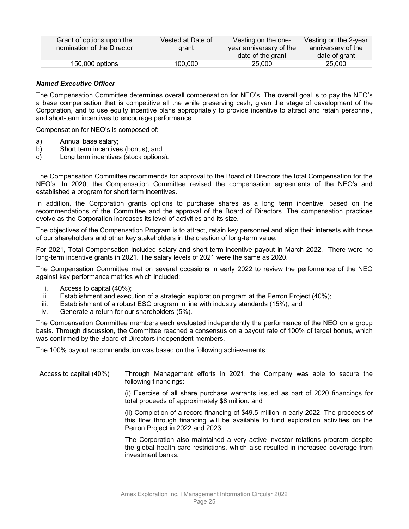| Grant of options upon the<br>nomination of the Director | Vested at Date of<br>drant | Vesting on the one-<br>year anniversary of the<br>date of the grant | Vesting on the 2-year<br>anniversary of the<br>date of grant |
|---------------------------------------------------------|----------------------------|---------------------------------------------------------------------|--------------------------------------------------------------|
| 150,000 options                                         | 100.000                    | 25,000                                                              | 25,000                                                       |

### *Named Executive Officer*

The Compensation Committee determines overall compensation for NEO's. The overall goal is to pay the NEO's a base compensation that is competitive all the while preserving cash, given the stage of development of the Corporation, and to use equity incentive plans appropriately to provide incentive to attract and retain personnel, and short-term incentives to encourage performance.

Compensation for NEO's is composed of:

- a) Annual base salary;<br>b) Short term incentive
- Short term incentives (bonus); and
- c) Long term incentives (stock options).

The Compensation Committee recommends for approval to the Board of Directors the total Compensation for the NEO's. In 2020, the Compensation Committee revised the compensation agreements of the NEO's and established a program for short term incentives.

In addition, the Corporation grants options to purchase shares as a long term incentive, based on the recommendations of the Committee and the approval of the Board of Directors. The compensation practices evolve as the Corporation increases its level of activities and its size.

The objectives of the Compensation Program is to attract, retain key personnel and align their interests with those of our shareholders and other key stakeholders in the creation of long-term value.

For 2021, Total Compensation included salary and short-term incentive payout in March 2022. There were no long-term incentive grants in 2021. The salary levels of 2021 were the same as 2020.

The Compensation Committee met on several occasions in early 2022 to review the performance of the NEO against key performance metrics which included:

- i. Access to capital (40%);
- ii. Establishment and execution of a strategic exploration program at the Perron Project (40%);
- iii. Establishment of a robust ESG program in line with industry standards (15%); and
- iv. Generate a return for our shareholders (5%).

The Compensation Committee members each evaluated independently the performance of the NEO on a group basis. Through discussion, the Committee reached a consensus on a payout rate of 100% of target bonus, which was confirmed by the Board of Directors independent members.

The 100% payout recommendation was based on the following achievements:

| Access to capital (40%) | Through Management efforts in 2021, the Company was able to secure the<br>following financings:                                                                                                                   |  |  |  |  |  |
|-------------------------|-------------------------------------------------------------------------------------------------------------------------------------------------------------------------------------------------------------------|--|--|--|--|--|
|                         | (i) Exercise of all share purchase warrants issued as part of 2020 financings for<br>total proceeds of approximately \$8 million: and                                                                             |  |  |  |  |  |
|                         | (ii) Completion of a record financing of \$49.5 million in early 2022. The proceeds of<br>this flow through financing will be available to fund exploration activities on the<br>Perron Project in 2022 and 2023. |  |  |  |  |  |
|                         | The Corporation also maintained a very active investor relations program despite<br>the global health care restrictions, which also resulted in increased coverage from<br>investment banks.                      |  |  |  |  |  |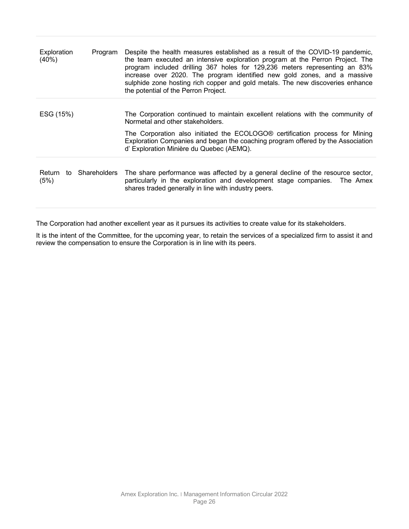| Exploration<br>(40%)           | Program | Despite the health measures established as a result of the COVID-19 pandemic,<br>the team executed an intensive exploration program at the Perron Project. The<br>program included drilling 367 holes for 129,236 meters representing an 83%<br>increase over 2020. The program identified new gold zones, and a massive<br>sulphide zone hosting rich copper and gold metals. The new discoveries enhance<br>the potential of the Perron Project. |
|--------------------------------|---------|----------------------------------------------------------------------------------------------------------------------------------------------------------------------------------------------------------------------------------------------------------------------------------------------------------------------------------------------------------------------------------------------------------------------------------------------------|
| ESG (15%)                      |         | The Corporation continued to maintain excellent relations with the community of<br>Normetal and other stakeholders.<br>The Corporation also initiated the ECOLOGO <sup>®</sup> certification process for Mining<br>Exploration Companies and began the coaching program offered by the Association<br>d' Exploration Minière du Quebec (AEMQ).                                                                                                     |
| Return to Shareholders<br>(5%) |         | The share performance was affected by a general decline of the resource sector,<br>particularly in the exploration and development stage companies. The Amex<br>shares traded generally in line with industry peers.                                                                                                                                                                                                                               |

The Corporation had another excellent year as it pursues its activities to create value for its stakeholders.

It is the intent of the Committee, for the upcoming year, to retain the services of a specialized firm to assist it and review the compensation to ensure the Corporation is in line with its peers.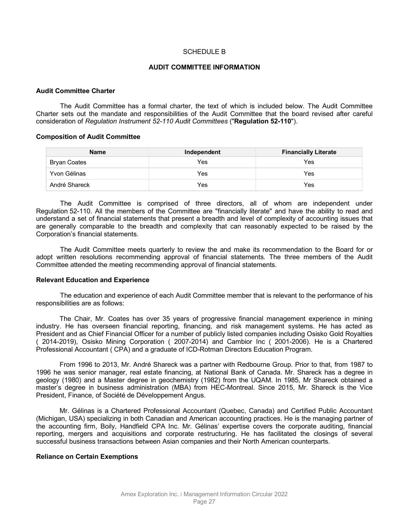#### SCHEDULE B

#### **AUDIT COMMITTEE INFORMATION**

#### **Audit Committee Charter**

The Audit Committee has a formal charter, the text of which is included below. The Audit Committee Charter sets out the mandate and responsibilities of the Audit Committee that the board revised after careful consideration of *Regulation Instrument 52-110 Audit Committees* ("**Regulation 52-110**").

#### **Composition of Audit Committee**

| <b>Name</b>   | Independent | <b>Financially Literate</b> |  |  |
|---------------|-------------|-----------------------------|--|--|
| Bryan Coates  | Yes         | Yes                         |  |  |
| Yvon Gélinas  | Yes         | Yes                         |  |  |
| André Shareck | Yes         | Yes                         |  |  |

The Audit Committee is comprised of three directors, all of whom are independent under Regulation 52-110. All the members of the Committee are "financially literate" and have the ability to read and understand a set of financial statements that present a breadth and level of complexity of accounting issues that are generally comparable to the breadth and complexity that can reasonably expected to be raised by the Corporation's financial statements.

The Audit Committee meets quarterly to review the and make its recommendation to the Board for or adopt written resolutions recommending approval of financial statements. The three members of the Audit Committee attended the meeting recommending approval of financial statements.

#### **Relevant Education and Experience**

The education and experience of each Audit Committee member that is relevant to the performance of his responsibilities are as follows:

The Chair, Mr. Coates has over 35 years of progressive financial management experience in mining industry. He has overseen financial reporting, financing, and risk management systems. He has acted as President and as Chief Financial Officer for a number of publicly listed companies including Osisko Gold Royalties ( 2014-2019), Osisko Mining Corporation ( 2007-2014) and Cambior Inc ( 2001-2006). He is a Chartered Professional Accountant ( CPA) and a graduate of ICD-Rotman Directors Education Program.

From 1996 to 2013, Mr. André Shareck was a partner with Redbourne Group. Prior to that, from 1987 to 1996 he was senior manager, real estate financing, at National Bank of Canada. Mr. Shareck has a degree in geology (1980) and a Master degree in geochemistry (1982) from the UQAM. In 1985, Mr Shareck obtained a master's degree in business administration (MBA) from HEC-Montreal. Since 2015, Mr. Shareck is the Vice President, Finance, of Société de Développement Angus.

Mr. Gélinas is a Chartered Professional Accountant (Quebec, Canada) and Certified Public Accountant (Michigan, USA) specializing in both Canadian and American accounting practices. He is the managing partner of the accounting firm, Boily, Handfield CPA Inc. Mr. Gélinas' expertise covers the corporate auditing, financial reporting, mergers and acquisitions and corporate restructuring. He has facilitated the closings of several successful business transactions between Asian companies and their North American counterparts.

#### **Reliance on Certain Exemptions**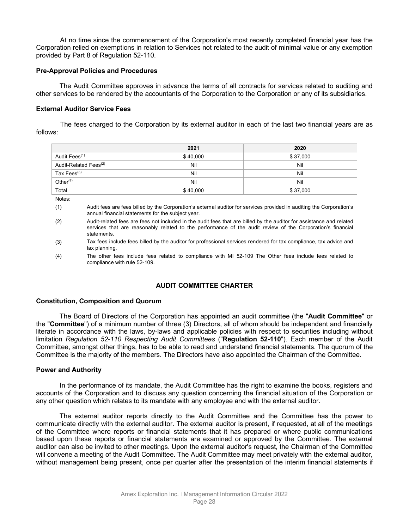At no time since the commencement of the Corporation's most recently completed financial year has the Corporation relied on exemptions in relation to Services not related to the audit of minimal value or any exemption provided by Part 8 of Regulation 52-110.

#### **Pre-Approval Policies and Procedures**

The Audit Committee approves in advance the terms of all contracts for services related to auditing and other services to be rendered by the accountants of the Corporation to the Corporation or any of its subsidiaries.

#### **External Auditor Service Fees**

The fees charged to the Corporation by its external auditor in each of the last two financial years are as follows:

|                                   | 2021     | 2020     |
|-----------------------------------|----------|----------|
| Audit Fees <sup>(1)</sup>         | \$40,000 | \$37,000 |
| Audit-Related Fees <sup>(2)</sup> | Nil      | Nil      |
| Tax Fees <sup>(3)</sup>           | Nil      | Nil      |
| Other $(4)$                       | Nil      | Nil      |
| Total                             | \$40,000 | \$37,000 |

Notes:

- (1) Audit fees are fees billed by the Corporation's external auditor for services provided in auditing the Corporation's annual financial statements for the subject year.
- (2) Audit-related fees are fees not included in the audit fees that are billed by the auditor for assistance and related services that are reasonably related to the performance of the audit review of the Corporation's financial statements.
- (3) Tax fees include fees billed by the auditor for professional services rendered for tax compliance, tax advice and tax planning.
- (4) The other fees include fees related to compliance with MI 52-109 The Other fees include fees related to compliance with rule 52-109.

#### **AUDIT COMMITTEE CHARTER**

#### **Constitution, Composition and Quorum**

The Board of Directors of the Corporation has appointed an audit committee (the "**Audit Committee**" or the "**Committee**") of a minimum number of three (3) Directors, all of whom should be independent and financially literate in accordance with the laws, by-laws and applicable policies with respect to securities including without limitation *Regulation 52-110 Respecting Audit Committees* ("**Regulation 52-110**"). Each member of the Audit Committee, amongst other things, has to be able to read and understand financial statements. The quorum of the Committee is the majority of the members. The Directors have also appointed the Chairman of the Committee.

#### **Power and Authority**

In the performance of its mandate, the Audit Committee has the right to examine the books, registers and accounts of the Corporation and to discuss any question concerning the financial situation of the Corporation or any other question which relates to its mandate with any employee and with the external auditor.

The external auditor reports directly to the Audit Committee and the Committee has the power to communicate directly with the external auditor. The external auditor is present, if requested, at all of the meetings of the Committee where reports or financial statements that it has prepared or where public communications based upon these reports or financial statements are examined or approved by the Committee. The external auditor can also be invited to other meetings. Upon the external auditor's request, the Chairman of the Committee will convene a meeting of the Audit Committee. The Audit Committee may meet privately with the external auditor, without management being present, once per quarter after the presentation of the interim financial statements if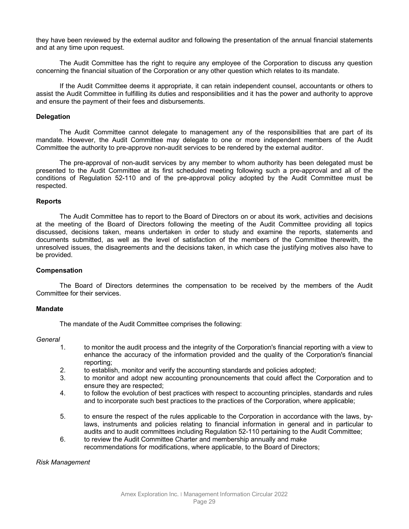they have been reviewed by the external auditor and following the presentation of the annual financial statements and at any time upon request.

The Audit Committee has the right to require any employee of the Corporation to discuss any question concerning the financial situation of the Corporation or any other question which relates to its mandate.

If the Audit Committee deems it appropriate, it can retain independent counsel, accountants or others to assist the Audit Committee in fulfilling its duties and responsibilities and it has the power and authority to approve and ensure the payment of their fees and disbursements.

#### **Delegation**

The Audit Committee cannot delegate to management any of the responsibilities that are part of its mandate. However, the Audit Committee may delegate to one or more independent members of the Audit Committee the authority to pre-approve non-audit services to be rendered by the external auditor.

The pre-approval of non-audit services by any member to whom authority has been delegated must be presented to the Audit Committee at its first scheduled meeting following such a pre-approval and all of the conditions of Regulation 52-110 and of the pre-approval policy adopted by the Audit Committee must be respected.

#### **Reports**

The Audit Committee has to report to the Board of Directors on or about its work, activities and decisions at the meeting of the Board of Directors following the meeting of the Audit Committee providing all topics discussed, decisions taken, means undertaken in order to study and examine the reports, statements and documents submitted, as well as the level of satisfaction of the members of the Committee therewith, the unresolved issues, the disagreements and the decisions taken, in which case the justifying motives also have to be provided.

#### **Compensation**

The Board of Directors determines the compensation to be received by the members of the Audit Committee for their services.

#### **Mandate**

The mandate of the Audit Committee comprises the following:

#### *General*

- 1. to monitor the audit process and the integrity of the Corporation's financial reporting with a view to enhance the accuracy of the information provided and the quality of the Corporation's financial reporting;
- 2. to establish, monitor and verify the accounting standards and policies adopted;
- 3. to monitor and adopt new accounting pronouncements that could affect the Corporation and to ensure they are respected;
- 4. to follow the evolution of best practices with respect to accounting principles, standards and rules and to incorporate such best practices to the practices of the Corporation, where applicable;
- 5. to ensure the respect of the rules applicable to the Corporation in accordance with the laws, bylaws, instruments and policies relating to financial information in general and in particular to audits and to audit committees including Regulation 52-110 pertaining to the Audit Committee;
- 6. to review the Audit Committee Charter and membership annually and make recommendations for modifications, where applicable, to the Board of Directors;

#### *Risk Management*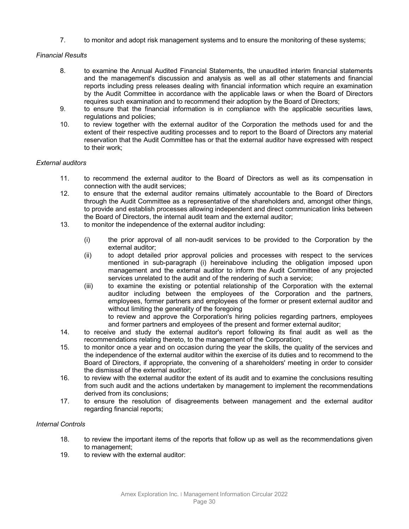7. to monitor and adopt risk management systems and to ensure the monitoring of these systems;

# *Financial Results*

- 8. to examine the Annual Audited Financial Statements, the unaudited interim financial statements and the management's discussion and analysis as well as all other statements and financial reports including press releases dealing with financial information which require an examination by the Audit Committee in accordance with the applicable laws or when the Board of Directors requires such examination and to recommend their adoption by the Board of Directors;
- 9. to ensure that the financial information is in compliance with the applicable securities laws, regulations and policies;
- 10. to review together with the external auditor of the Corporation the methods used for and the extent of their respective auditing processes and to report to the Board of Directors any material reservation that the Audit Committee has or that the external auditor have expressed with respect to their work;

# *External auditors*

- 11. to recommend the external auditor to the Board of Directors as well as its compensation in connection with the audit services;
- 12. to ensure that the external auditor remains ultimately accountable to the Board of Directors through the Audit Committee as a representative of the shareholders and, amongst other things, to provide and establish processes allowing independent and direct communication links between the Board of Directors, the internal audit team and the external auditor;
- 13. to monitor the independence of the external auditor including:
	- (i) the prior approval of all non-audit services to be provided to the Corporation by the external auditor;
	- (ii) to adopt detailed prior approval policies and processes with respect to the services mentioned in sub-paragraph (i) hereinabove including the obligation imposed upon management and the external auditor to inform the Audit Committee of any projected services unrelated to the audit and of the rendering of such a service;
	- (iii) to examine the existing or potential relationship of the Corporation with the external auditor including between the employees of the Corporation and the partners, employees, former partners and employees of the former or present external auditor and without limiting the generality of the foregoing

to review and approve the Corporation's hiring policies regarding partners, employees and former partners and employees of the present and former external auditor;

- 14. to receive and study the external auditor's report following its final audit as well as the recommendations relating thereto, to the management of the Corporation;
- 15. to monitor once a year and on occasion during the year the skills, the quality of the services and the independence of the external auditor within the exercise of its duties and to recommend to the Board of Directors, if appropriate, the convening of a shareholders' meeting in order to consider the dismissal of the external auditor;
- 16. to review with the external auditor the extent of its audit and to examine the conclusions resulting from such audit and the actions undertaken by management to implement the recommendations derived from its conclusions;
- 17. to ensure the resolution of disagreements between management and the external auditor regarding financial reports;

# *Internal Controls*

- 18. to review the important items of the reports that follow up as well as the recommendations given to management;
- 19. to review with the external auditor: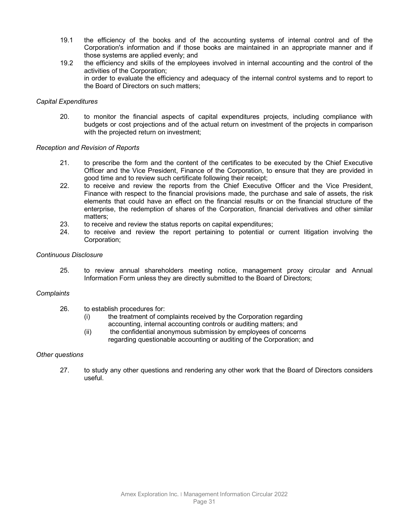- 19.1 the efficiency of the books and of the accounting systems of internal control and of the Corporation's information and if those books are maintained in an appropriate manner and if those systems are applied evenly; and
- 19.2 the efficiency and skills of the employees involved in internal accounting and the control of the activities of the Corporation; in order to evaluate the efficiency and adequacy of the internal control systems and to report to the Board of Directors on such matters;

#### *Capital Expenditures*

20. to monitor the financial aspects of capital expenditures projects, including compliance with budgets or cost projections and of the actual return on investment of the projects in comparison with the projected return on investment;

### *Reception and Revision of Reports*

- 21. to prescribe the form and the content of the certificates to be executed by the Chief Executive Officer and the Vice President, Finance of the Corporation, to ensure that they are provided in good time and to review such certificate following their receipt;
- 22. to receive and review the reports from the Chief Executive Officer and the Vice President, Finance with respect to the financial provisions made, the purchase and sale of assets, the risk elements that could have an effect on the financial results or on the financial structure of the enterprise, the redemption of shares of the Corporation, financial derivatives and other similar matters;
- 23. to receive and review the status reports on capital expenditures;<br>24. to receive and review the report pertaining to potential or
- to receive and review the report pertaining to potential or current litigation involving the Corporation;

#### *Continuous Disclosure*

25. to review annual shareholders meeting notice, management proxy circular and Annual Information Form unless they are directly submitted to the Board of Directors;

#### *Complaints*

- 26. to establish procedures for:
	- (i) the treatment of complaints received by the Corporation regarding accounting, internal accounting controls or auditing matters; and
	- (ii) the confidential anonymous submission by employees of concerns regarding questionable accounting or auditing of the Corporation; and

#### *Other questions*

27. to study any other questions and rendering any other work that the Board of Directors considers useful.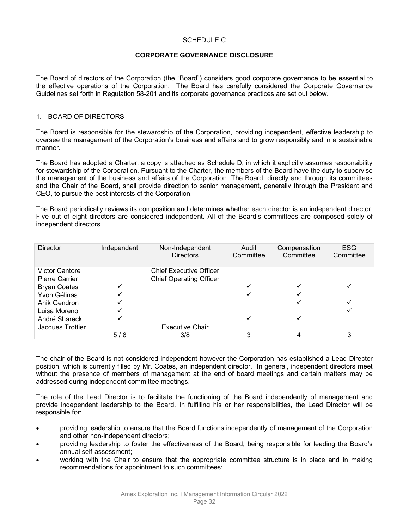# SCHEDULE C

#### **CORPORATE GOVERNANCE DISCLOSURE**

The Board of directors of the Corporation (the "Board") considers good corporate governance to be essential to the effective operations of the Corporation. The Board has carefully considered the Corporate Governance Guidelines set forth in Regulation 58-201 and its corporate governance practices are set out below.

#### 1. BOARD OF DIRECTORS

The Board is responsible for the stewardship of the Corporation, providing independent, effective leadership to oversee the management of the Corporation's business and affairs and to grow responsibly and in a sustainable manner.

The Board has adopted a Charter, a copy is attached as Schedule D, in which it explicitly assumes responsibility for stewardship of the Corporation. Pursuant to the Charter, the members of the Board have the duty to supervise the management of the business and affairs of the Corporation. The Board, directly and through its committees and the Chair of the Board, shall provide direction to senior management, generally through the President and CEO, to pursue the best interests of the Corporation.

The Board periodically reviews its composition and determines whether each director is an independent director. Five out of eight directors are considered independent. All of the Board's committees are composed solely of independent directors.

| <b>Director</b>       | Independent  | Non-Independent<br><b>Directors</b> | Audit<br>Committee | Compensation<br>Committee | <b>ESG</b><br>Committee |
|-----------------------|--------------|-------------------------------------|--------------------|---------------------------|-------------------------|
| <b>Victor Cantore</b> |              | <b>Chief Executive Officer</b>      |                    |                           |                         |
| <b>Pierre Carrier</b> |              | <b>Chief Operating Officer</b>      |                    |                           |                         |
| <b>Bryan Coates</b>   | ✓            |                                     |                    |                           |                         |
| Yvon Gélinas          | ✓            |                                     |                    |                           |                         |
| Anik Gendron          | $\checkmark$ |                                     |                    |                           |                         |
| Luisa Moreno          | ✓            |                                     |                    |                           |                         |
| André Shareck         | ✓            |                                     |                    |                           |                         |
| Jacques Trottier      |              | <b>Executive Chair</b>              |                    |                           |                         |
|                       | 5/8          | 3/8                                 | ◠                  |                           |                         |

The chair of the Board is not considered independent however the Corporation has established a Lead Director position, which is currently filled by Mr. Coates, an independent director. In general, independent directors meet without the presence of members of management at the end of board meetings and certain matters may be addressed during independent committee meetings.

The role of the Lead Director is to facilitate the functioning of the Board independently of management and provide independent leadership to the Board. In fulfilling his or her responsibilities, the Lead Director will be responsible for:

- providing leadership to ensure that the Board functions independently of management of the Corporation and other non-independent directors;
- providing leadership to foster the effectiveness of the Board; being responsible for leading the Board's annual self-assessment;
- working with the Chair to ensure that the appropriate committee structure is in place and in making recommendations for appointment to such committees;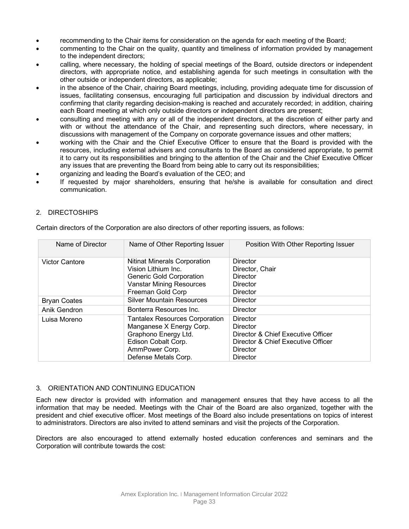- recommending to the Chair items for consideration on the agenda for each meeting of the Board;
- commenting to the Chair on the quality, quantity and timeliness of information provided by management to the independent directors;
- calling, where necessary, the holding of special meetings of the Board, outside directors or independent directors, with appropriate notice, and establishing agenda for such meetings in consultation with the other outside or independent directors, as applicable;
- in the absence of the Chair, chairing Board meetings, including, providing adequate time for discussion of issues, facilitating consensus, encouraging full participation and discussion by individual directors and confirming that clarity regarding decision-making is reached and accurately recorded; in addition, chairing each Board meeting at which only outside directors or independent directors are present;
- consulting and meeting with any or all of the independent directors, at the discretion of either party and with or without the attendance of the Chair, and representing such directors, where necessary, in discussions with management of the Company on corporate governance issues and other matters;
- working with the Chair and the Chief Executive Officer to ensure that the Board is provided with the resources, including external advisers and consultants to the Board as considered appropriate, to permit it to carry out its responsibilities and bringing to the attention of the Chair and the Chief Executive Officer any issues that are preventing the Board from being able to carry out its responsibilities;
- organizing and leading the Board's evaluation of the CEO; and
- If requested by major shareholders, ensuring that he/she is available for consultation and direct communication.

# 2. DIRECTOSHIPS

| Name of Director      | Name of Other Reporting Issuer                                                                                                                             | Position With Other Reporting Issuer                                                                                                   |  |  |  |
|-----------------------|------------------------------------------------------------------------------------------------------------------------------------------------------------|----------------------------------------------------------------------------------------------------------------------------------------|--|--|--|
| <b>Victor Cantore</b> | <b>Nitinat Minerals Corporation</b><br>Vision Lithium Inc.<br><b>Generic Gold Corporation</b><br><b>Vanstar Mining Resources</b><br>Freeman Gold Corp      | Director<br>Director, Chair<br>Director<br>Director<br><b>Director</b>                                                                 |  |  |  |
| <b>Bryan Coates</b>   | <b>Silver Mountain Resources</b>                                                                                                                           | <b>Director</b>                                                                                                                        |  |  |  |
| Anik Gendron          | Bonterra Resources Inc.                                                                                                                                    | Director                                                                                                                               |  |  |  |
| Luisa Moreno          | <b>Tantalex Resources Corporation</b><br>Manganese X Energy Corp.<br>Graphono Energy Ltd.<br>Edison Cobalt Corp.<br>AmmPower Corp.<br>Defense Metals Corp. | <b>Director</b><br>Director<br>Director & Chief Executive Officer<br>Director & Chief Executive Officer<br>Director<br><b>Director</b> |  |  |  |

Certain directors of the Corporation are also directors of other reporting issuers, as follows:

# 3. ORIENTATION AND CONTINUING EDUCATION

Each new director is provided with information and management ensures that they have access to all the information that may be needed. Meetings with the Chair of the Board are also organized, together with the president and chief executive officer. Most meetings of the Board also include presentations on topics of interest to administrators. Directors are also invited to attend seminars and visit the projects of the Corporation.

Directors are also encouraged to attend externally hosted education conferences and seminars and the Corporation will contribute towards the cost: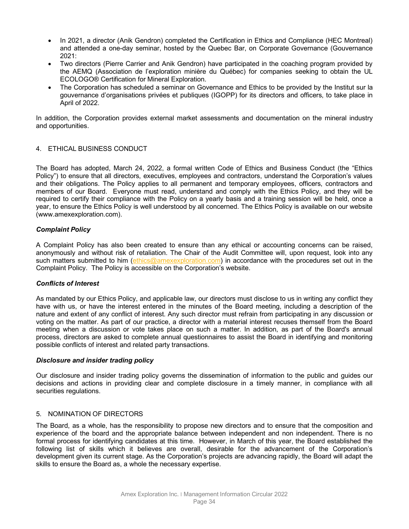- In 2021, a director (Anik Gendron) completed the Certification in Ethics and Compliance (HEC Montreal) and attended a one-day seminar, hosted by the Quebec Bar, on Corporate Governance (Gouvernance 2021:
- Two directors (Pierre Carrier and Anik Gendron) have participated in the coaching program provided by the AEMQ (Association de l'exploration minière du Québec) for companies seeking to obtain the UL ECOLOGO® Certification for Mineral Exploration.
- The Corporation has scheduled a seminar on Governance and Ethics to be provided by the Institut sur la gouvernance d'organisations privées et publiques (IGOPP) for its directors and officers, to take place in April of 2022.

In addition, the Corporation provides external market assessments and documentation on the mineral industry and opportunities.

### 4. ETHICAL BUSINESS CONDUCT

The Board has adopted, March 24, 2022, a formal written Code of Ethics and Business Conduct (the "Ethics Policy") to ensure that all directors, executives, employees and contractors, understand the Corporation's values and their obligations. The Policy applies to all permanent and temporary employees, officers, contractors and members of our Board. Everyone must read, understand and comply with the Ethics Policy, and they will be required to certify their compliance with the Policy on a yearly basis and a training session will be held, once a year, to ensure the Ethics Policy is well understood by all concerned. The Ethics Policy is available on our website (www.amexexploration.com).

### *Complaint Policy*

A Complaint Policy has also been created to ensure than any ethical or accounting concerns can be raised, anonymously and without risk of retaliation. The Chair of the Audit Committee will, upon request, look into any such matters submitted to him [\(ethics@amexexploration.com\)](mailto:ethics@amexexploration.com) in accordance with the procedures set out in the Complaint Policy. The Policy is accessible on the Corporation's website.

#### *Conflicts of Interest*

As mandated by our Ethics Policy, and applicable law, our directors must disclose to us in writing any conflict they have with us, or have the interest entered in the minutes of the Board meeting, including a description of the nature and extent of any conflict of interest. Any such director must refrain from participating in any discussion or voting on the matter. As part of our practice, a director with a material interest recuses themself from the Board meeting when a discussion or vote takes place on such a matter. In addition, as part of the Board's annual process, directors are asked to complete annual questionnaires to assist the Board in identifying and monitoring possible conflicts of interest and related party transactions.

#### *Disclosure and insider trading policy*

Our disclosure and insider trading policy governs the dissemination of information to the public and guides our decisions and actions in providing clear and complete disclosure in a timely manner, in compliance with all securities regulations.

#### 5. NOMINATION OF DIRECTORS

The Board, as a whole, has the responsibility to propose new directors and to ensure that the composition and experience of the board and the appropriate balance between independent and non independent. There is no formal process for identifying candidates at this time. However, in March of this year, the Board established the following list of skills which it believes are overall, desirable for the advancement of the Corporation's development given its current stage. As the Corporation's projects are advancing rapidly, the Board will adapt the skills to ensure the Board as, a whole the necessary expertise.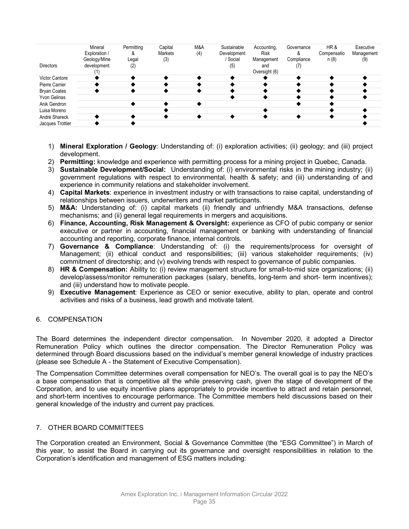|                       | Mineral<br>Exploration /    | Permitting<br>ăx | Capital<br>Markets | M&A<br>(4) | Sustainable<br>Development | Accounting,<br><b>Risk</b> | Governance | HR&<br>Compensatio | Executive<br>Management |
|-----------------------|-----------------------------|------------------|--------------------|------------|----------------------------|----------------------------|------------|--------------------|-------------------------|
| <b>Directors</b>      | Geology/Mine<br>development | Legal            | (3)                |            | Social                     | Management                 | Compliance | n (8)              | (9)                     |
|                       |                             | (2)              |                    |            | (5)                        | and<br>Oversight (6)       |            |                    |                         |
| <b>Victor Cantore</b> |                             |                  |                    |            |                            |                            |            |                    |                         |
| Pierre Carrier        |                             |                  |                    |            |                            |                            |            |                    |                         |
| <b>Bryan Coates</b>   |                             |                  |                    |            |                            |                            |            |                    |                         |
| Yvon Gelinas          |                             |                  |                    |            |                            |                            |            |                    |                         |
| Anik Gendron          |                             |                  |                    |            |                            |                            |            |                    |                         |
| Luisa Moreno          |                             |                  |                    |            |                            |                            |            |                    |                         |
| André Shareck         |                             |                  |                    |            |                            |                            |            |                    |                         |
| Jacques Trottier      |                             |                  |                    |            |                            |                            |            |                    |                         |

- 1) **Mineral Exploration / Geology**: Understanding of: (i) exploration activities; (ii) geology; and (iii) project development.
- 2) **Permitting:** knowledge and experience with permitting process for a mining project in Quebec, Canada.
- 3) **Sustainable Development/Social:** Understanding of: (i) environmental risks in the mining industry; (ii) government regulations with respect to environmental, health & safety; and (iii) understanding of and experience in community relations and stakeholder involvement.
- 4) **Capital Markets**: experience in investment industry or with transactions to raise capital, understanding of relationships between issuers, underwriters and market participants.
- 5) **M&A:** Understanding of: (i) capital markets (ii) friendly and unfriendly M&A transactions, defense mechanisms; and (ii) general legal requirements in mergers and acquisitions.
- 6) **Finance, Accounting, Risk Management & Oversight:** experience as CFO of pubic company or senior executive or partner in accounting, financial management or banking with understanding of financial accounting and reporting, corporate finance, internal controls.
- 7) **Governance & Compliance**: Understanding of: (i) the requirements/process for oversight of Management; (ii) ethical conduct and responsibilities; (iii) various stakeholder requirements; (iv) commitment of directorship; and (v) evolving trends with respect to governance of public companies.
- 8) **HR & Compensation:** Ability to: (i) review management structure for small-to-mid size organizations; (ii) develop/assess/monitor remuneration packages (salary, benefits, long-term and short- term incentives); and (iii) understand how to motivate people.
- 9) **Executive Management**: Experience as CEO or senior executive, ability to plan, operate and control activities and risks of a business, lead growth and motivate talent.

# 6. COMPENSATION

The Board determines the independent director compensation. In November 2020, it adopted a Director Remuneration Policy which outlines the director compensation. The Director Remuneration Policy was determined through Board discussions based on the individual's member general knowledge of industry practices (please see Schedule A - the Statement of Executive Compensation).

The Compensation Committee determines overall compensation for NEO's. The overall goal is to pay the NEO's a base compensation that is competitive all the while preserving cash, given the stage of development of the Corporation, and to use equity incentive plans appropriately to provide incentive to attract and retain personnel, and short-term incentives to encourage performance. The Committee members held discussions based on their general knowledge of the industry and current pay practices.

# 7. OTHER BOARD COMMITTEES

The Corporation created an Environment, Social & Governance Committee (the "ESG Committee") in March of this year, to assist the Board in carrying out its governance and oversight responsibilities in relation to the Corporation's identification and management of ESG matters including: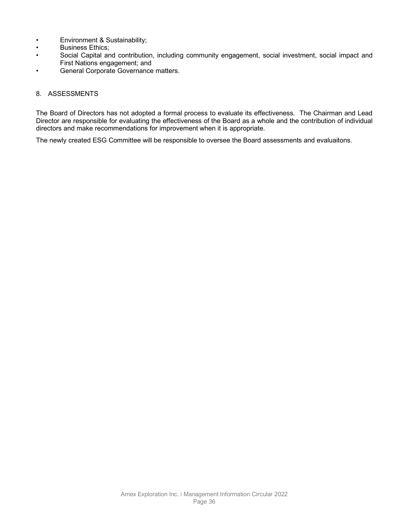- Environment & Sustainability;
- Business Ethics;<br>• Social Capital an
- Social Capital and contribution, including community engagement, social investment, social impact and First Nations engagement; and
- General Corporate Governance matters.

#### 8. ASSESSMENTS

The Board of Directors has not adopted a formal process to evaluate its effectiveness. The Chairman and Lead Director are responsible for evaluating the effectiveness of the Board as a whole and the contribution of individual directors and make recommendations for improvement when it is appropriate.

The newly created ESG Committee will be responsible to oversee the Board assessments and evaluaitons.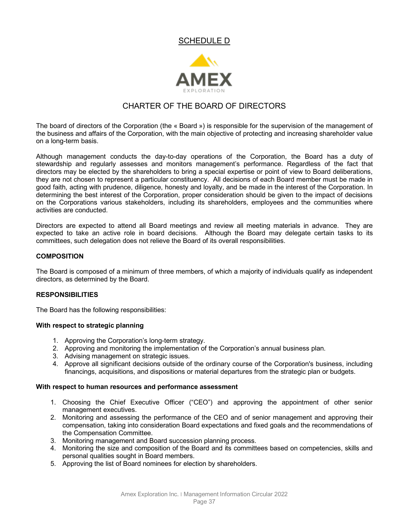# SCHEDULE D



# CHARTER OF THE BOARD OF DIRECTORS

The board of directors of the Corporation (the « Board ») is responsible for the supervision of the management of the business and affairs of the Corporation, with the main objective of protecting and increasing shareholder value on a long-term basis.

Although management conducts the day-to-day operations of the Corporation, the Board has a duty of stewardship and regularly assesses and monitors management's performance. Regardless of the fact that directors may be elected by the shareholders to bring a special expertise or point of view to Board deliberations, they are not chosen to represent a particular constituency. All decisions of each Board member must be made in good faith, acting with prudence, diligence, honesty and loyalty, and be made in the interest of the Corporation. In determining the best interest of the Corporation, proper consideration should be given to the impact of decisions on the Corporations various stakeholders, including its shareholders, employees and the communities where activities are conducted.

Directors are expected to attend all Board meetings and review all meeting materials in advance. They are expected to take an active role in board decisions. Although the Board may delegate certain tasks to its committees, such delegation does not relieve the Board of its overall responsibilities.

### **COMPOSITION**

The Board is composed of a minimum of three members, of which a majority of individuals qualify as independent directors, as determined by the Board.

#### **RESPONSIBILITIES**

The Board has the following responsibilities:

#### **With respect to strategic planning**

- 1. Approving the Corporation's long-term strategy.
- 2. Approving and monitoring the implementation of the Corporation's annual business plan.
- 3. Advising management on strategic issues.
- 4. Approve all significant decisions outside of the ordinary course of the Corporation's business, including financings, acquisitions, and dispositions or material departures from the strategic plan or budgets.

#### **With respect to human resources and performance assessment**

- 1. Choosing the Chief Executive Officer ("CEO") and approving the appointment of other senior management executives.
- 2. Monitoring and assessing the performance of the CEO and of senior management and approving their compensation, taking into consideration Board expectations and fixed goals and the recommendations of the Compensation Committee.
- 3. Monitoring management and Board succession planning process.
- 4. Monitoring the size and composition of the Board and its committees based on competencies, skills and personal qualities sought in Board members.
- 5. Approving the list of Board nominees for election by shareholders.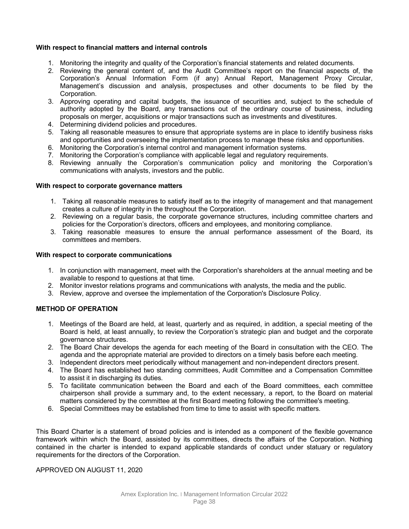#### **With respect to financial matters and internal controls**

- 1. Monitoring the integrity and quality of the Corporation's financial statements and related documents.
- 2. Reviewing the general content of, and the Audit Committee's report on the financial aspects of, the Corporation's Annual Information Form (if any) Annual Report, Management Proxy Circular, Management's discussion and analysis, prospectuses and other documents to be filed by the Corporation.
- 3. Approving operating and capital budgets, the issuance of securities and, subject to the schedule of authority adopted by the Board, any transactions out of the ordinary course of business, including proposals on merger, acquisitions or major transactions such as investments and divestitures.
- 4. Determining dividend policies and procedures.
- 5. Taking all reasonable measures to ensure that appropriate systems are in place to identify business risks and opportunities and overseeing the implementation process to manage these risks and opportunities.
- 6. Monitoring the Corporation's internal control and management information systems.
- 7. Monitoring the Corporation's compliance with applicable legal and regulatory requirements.
- 8. Reviewing annually the Corporation's communication policy and monitoring the Corporation's communications with analysts, investors and the public.

#### **With respect to corporate governance matters**

- 1. Taking all reasonable measures to satisfy itself as to the integrity of management and that management creates a culture of integrity in the throughout the Corporation.
- 2. Reviewing on a regular basis, the corporate governance structures, including committee charters and policies for the Corporation's directors, officers and employees, and monitoring compliance.
- 3. Taking reasonable measures to ensure the annual performance assessment of the Board, its committees and members.

#### **With respect to corporate communications**

- 1. In conjunction with management, meet with the Corporation's shareholders at the annual meeting and be available to respond to questions at that time.
- 2. Monitor investor relations programs and communications with analysts, the media and the public.
- 3. Review, approve and oversee the implementation of the Corporation's Disclosure Policy.

# **METHOD OF OPERATION**

- 1. Meetings of the Board are held, at least, quarterly and as required, in addition, a special meeting of the Board is held, at least annually, to review the Corporation's strategic plan and budget and the corporate governance structures.
- 2. The Board Chair develops the agenda for each meeting of the Board in consultation with the CEO. The agenda and the appropriate material are provided to directors on a timely basis before each meeting.
- 3. Independent directors meet periodically without management and non-independent directors present.
- 4. The Board has established two standing committees, Audit Committee and a Compensation Committee to assist it in discharging its duties.
- 5. To facilitate communication between the Board and each of the Board committees, each committee chairperson shall provide a summary and, to the extent necessary, a report, to the Board on material matters considered by the committee at the first Board meeting following the committee's meeting.
- 6. Special Committees may be established from time to time to assist with specific matters.

This Board Charter is a statement of broad policies and is intended as a component of the flexible governance framework within which the Board, assisted by its committees, directs the affairs of the Corporation. Nothing contained in the charter is intended to expand applicable standards of conduct under statuary or regulatory requirements for the directors of the Corporation.

APPROVED ON AUGUST 11, 2020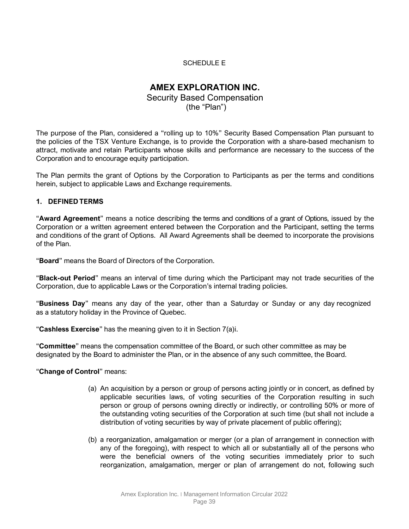# SCHEDULE E

# **AMEX EXPLORATION INC.**

Security Based Compensation (the "Plan")

The purpose of the Plan, considered a "rolling up to 10%" Security Based Compensation Plan pursuant to the policies of the TSX Venture Exchange, is to provide the Corporation with a share-based mechanism to attract, motivate and retain Participants whose skills and performance are necessary to the success of the Corporation and to encourage equity participation.

The Plan permits the grant of Options by the Corporation to Participants as per the terms and conditions herein, subject to applicable Laws and Exchange requirements.

# **1. DEFINED TERMS**

"**Award Agreement**" means a notice describing the terms and conditions of a grant of Options, issued by the Corporation or a written agreement entered between the Corporation and the Participant, setting the terms and conditions of the grant of Options. All Award Agreements shall be deemed to incorporate the provisions of the Plan.

"**Board**" means the Board of Directors of the Corporation.

"**Black-out Period**" means an interval of time during which the Participant may not trade securities of the Corporation, due to applicable Laws or the Corporation's internal trading policies.

"**Business Day**" means any day of the year, other than a Saturday or Sunday or any day recognized as a statutory holiday in the Province of Quebec.

"**Cashless Exercise**" has the meaning given to it in Section [7\(a\)i.](#page-46-0)

"**Committee**" means the compensation committee of the Board, or such other committee as may be designated by the Board to administer the Plan, or in the absence of any such committee, the Board.

"**Change of Control**" means:

- (a) An acquisition by a person or group of persons acting jointly or in concert, as defined by applicable securities laws, of voting securities of the Corporation resulting in such person or group of persons owning directly or indirectly, or controlling 50% or more of the outstanding voting securities of the Corporation at such time (but shall not include a distribution of voting securities by way of private placement of public offering);
- (b) a reorganization, amalgamation or merger (or a plan of arrangement in connection with any of the foregoing), with respect to which all or substantially all of the persons who were the beneficial owners of the voting securities immediately prior to such reorganization, amalgamation, merger or plan of arrangement do not, following such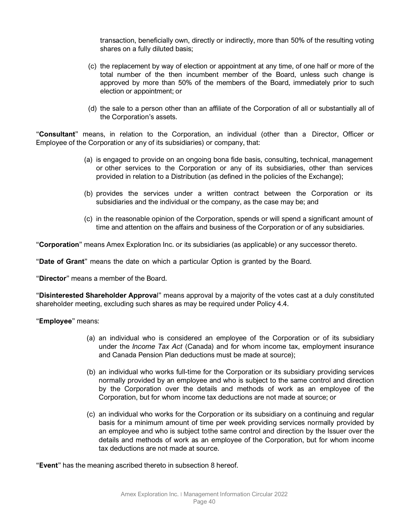transaction, beneficially own, directly or indirectly, more than 50% of the resulting voting shares on a fully diluted basis;

- (c) the replacement by way of election or appointment at any time, of one half or more of the total number of the then incumbent member of the Board, unless such change is approved by more than 50% of the members of the Board, immediately prior to such election or appointment; or
- (d) the sale to a person other than an affiliate of the Corporation of all or substantially all of the Corporation's assets.

"**Consultant**" means, in relation to the Corporation, an individual (other than a Director, Officer or Employee of the Corporation or any of its subsidiaries) or company, that:

- (a) is engaged to provide on an ongoing bona fide basis, consulting, technical, management or other services to the Corporation or any of its subsidiaries, other than services provided in relation to a Distribution (as defined in the policies of the Exchange);
- (b) provides the services under a written contract between the Corporation or its subsidiaries and the individual or the company, as the case may be; and
- (c) in the reasonable opinion of the Corporation, spends or will spend a significant amount of time and attention on the affairs and business of the Corporation or of any subsidiaries.

"**Corporation**" means Amex Exploration Inc. or its subsidiaries (as applicable) or any successor thereto.

"**Date of Grant**" means the date on which a particular Option is granted by the Board.

"**Director**" means a member of the Board.

"**Disinterested Shareholder Approva**l" means approval by a majority of the votes cast at a duly constituted shareholder meeting, excluding such shares as may be required under Policy 4.4.

"**Employee**" means:

- (a) an individual who is considered an employee of the Corporation or of its subsidiary under the *Income Tax Act* (Canada) and for whom income tax, employment insurance and Canada Pension Plan deductions must be made at source);
- (b) an individual who works full-time for the Corporation or its subsidiary providing services normally provided by an employee and who is subject to the same control and direction by the Corporation over the details and methods of work as an employee of the Corporation, but for whom income tax deductions are not made at source; or
- (c) an individual who works for the Corporation or its subsidiary on a continuing and regular basis for a minimum amount of time per week providing services normally provided by an employee and who is subject tothe same control and direction by the Issuer over the details and methods of work as an employee of the Corporation, but for whom income tax deductions are not made at source.

"**Event**" has the meaning ascribed thereto in subsection [8](#page-47-0) hereof.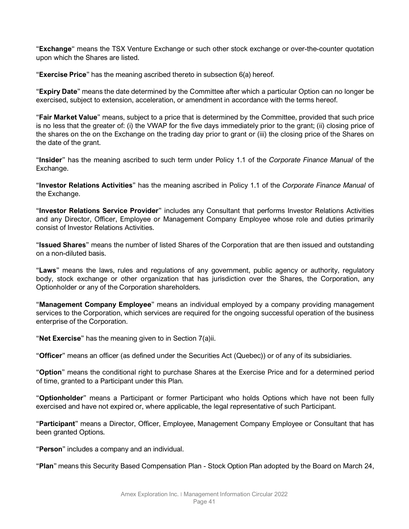"**Exchange**" means the TSX Venture Exchange or such other stock exchange or over-the-counter quotation upon which the Shares are listed.

"**Exercise Price**" has the meaning ascribed thereto in subsection [6\(a\)](#page-44-0) hereof.

"**Expiry Date**" means the date determined by the Committee after which a particular Option can no longer be exercised, subject to extension, acceleration, or amendment in accordance with the terms hereof.

"**Fair Market Value**" means, subject to a price that is determined by the Committee, provided that such price is no less that the greater of: (i) the VWAP for the five days immediately prior to the grant; (ii) closing price of the shares on the on the Exchange on the trading day prior to grant or (iii) the closing price of the Shares on the date of the grant.

"**Insider**" has the meaning ascribed to such term under Policy 1.1 of the *Corporate Finance Manual* of the Exchange.

"**Investor Relations Activities**" has the meaning ascribed in Policy 1.1 of the *Corporate Finance Manual* of the Exchange.

"**Investor Relations Service Provider**" includes any Consultant that performs Investor Relations Activities and any Director, Officer, Employee or Management Company Employee whose role and duties primarily consist of Investor Relations Activities.

"**Issued Shares**" means the number of listed Shares of the Corporation that are then issued and outstanding on a non-diluted basis.

"**Laws**" means the laws, rules and regulations of any government, public agency or authority, regulatory body, stock exchange or other organization that has jurisdiction over the Shares, the Corporation, any Optionholder or any of the Corporation shareholders.

"**Management Company Employee**" means an individual employed by a company providing management services to the Corporation, which services are required for the ongoing successful operation of the business enterprise of the Corporation.

"**Net Exercise**" has the meaning given to in Section [7\(a\)ii.](#page-46-1)

"**Officer**" means an officer (as defined under the Securities Act (Quebec)) or of any of its subsidiaries.

"**Option**" means the conditional right to purchase Shares at the Exercise Price and for a determined period of time, granted to a Participant under this Plan.

"**Optionholder**" means a Participant or former Participant who holds Options which have not been fully exercised and have not expired or, where applicable, the legal representative of such Participant.

"**Participant**" means a Director, Officer, Employee, Management Company Employee or Consultant that has been granted Options.

"**Person**" includes a company and an individual.

"**Plan**" means this Security Based Compensation Plan - Stock Option Plan adopted by the Board on March 24,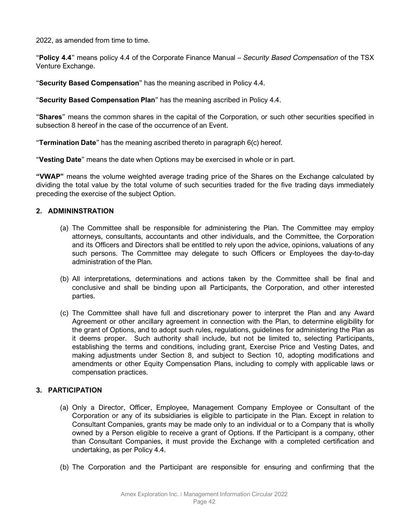2022, as amended from time to time.

"**Policy 4.4**" means policy 4.4 of the Corporate Finance Manual – *Security Based Compensation* of the TSX Venture Exchange.

"**Security Based Compensation**" has the meaning ascribed in Policy 4.4.

"**Security Based Compensation Plan**" has the meaning ascribed in Policy 4.4.

"**Shares**" means the common shares in the capital of the Corporation, or such other securities specified in subsection [8](#page-47-0) hereof in the case of the occurrence of an Event.

"**Termination Date**" has the meaning ascribed thereto in paragraph [6\(c\)](#page-45-0) hereof.

"**Vesting Date**" means the date when Options may be exercised in whole or in part.

**"VWAP"** means the volume weighted average trading price of the Shares on the Exchange calculated by dividing the total value by the total volume of such securities traded for the five trading days immediately preceding the exercise of the subject Option.

# **2. ADMININSTRATION**

- (a) The Committee shall be responsible for administering the Plan. The Committee may employ attorneys, consultants, accountants and other individuals, and the Committee, the Corporation and its Officers and Directors shall be entitled to rely upon the advice, opinions, valuations of any such persons. The Committee may delegate to such Officers or Employees the day-to-day administration of the Plan.
- (b) All interpretations, determinations and actions taken by the Committee shall be final and conclusive and shall be binding upon all Participants, the Corporation, and other interested parties.
- (c) The Committee shall have full and discretionary power to interpret the Plan and any Award Agreement or other ancillary agreement in connection with the Plan, to determine eligibility for the grant of Options, and to adopt such rules, regulations, guidelines for administering the Plan as it deems proper. Such authority shall include, but not be limited to, selecting Participants, establishing the terms and conditions, including grant, Exercise Price and Vesting Dates, and making adjustments under Section [8,](#page-47-0) and subject to Section [10,](#page-48-0) adopting modifications and amendments or other Equity Compensation Plans, including to comply with applicable laws or compensation practices.

# **3. PARTICIPATION**

- (a) Only a Director, Officer, Employee, Management Company Employee or Consultant of the Corporation or any of its subsidiaries is eligible to participate in the Plan. Except in relation to Consultant Companies, grants may be made only to an individual or to a Company that is wholly owned by a Person eligible to receive a grant of Options. If the Participant is a company, other than Consultant Companies, it must provide the Exchange with a completed certification and undertaking, as per Policy 4.4.
- (b) The Corporation and the Participant are responsible for ensuring and confirming that the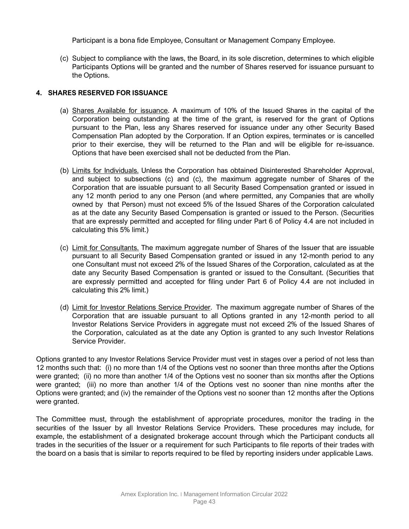Participant is a bona fide Employee, Consultant or Management Company Employee.

(c) Subject to compliance with the laws, the Board, in its sole discretion, determines to which eligible Participants Options will be granted and the number of Shares reserved for issuance pursuant to the Options.

# **4. SHARES RESERVED FOR ISSUANCE**

- (a) Shares Available for issuance. A maximum of 10% of the Issued Shares in the capital of the Corporation being outstanding at the time of the grant, is reserved for the grant of Options pursuant to the Plan, less any Shares reserved for issuance under any other Security Based Compensation Plan adopted by the Corporation. If an Option expires, terminates or is cancelled prior to their exercise, they will be returned to the Plan and will be eligible for re-issuance. Options that have been exercised shall not be deducted from the Plan.
- (b) Limits for Individuals. Unless the Corporation has obtained Disinterested Shareholder Approval, and subject to subsections [\(c\)](#page-43-0) and [\(c\),](#page-43-1) the maximum aggregate number of Shares of the Corporation that are issuable pursuant to all Security Based Compensation granted or issued in any 12 month period to any one Person (and where permitted, any Companies that are wholly owned by that Person) must not exceed 5% of the Issued Shares of the Corporation calculated as at the date any Security Based Compensation is granted or issued to the Person. (Securities that are expressly permitted and accepted for filing under Part 6 of Policy 4.4 are not included in calculating this 5% limit.)
- <span id="page-43-0"></span>(c) Limit for Consultants. The maximum aggregate number of Shares of the Issuer that are issuable pursuant to all Security Based Compensation granted or issued in any 12-month period to any one Consultant must not exceed 2% of the Issued Shares of the Corporation, calculated as at the date any Security Based Compensation is granted or issued to the Consultant. (Securities that are expressly permitted and accepted for filing under Part 6 of Policy 4.4 are not included in calculating this 2% limit.)
- <span id="page-43-1"></span>(d) Limit for Investor Relations Service Provider. The maximum aggregate number of Shares of the Corporation that are issuable pursuant to all Options granted in any 12-month period to all Investor Relations Service Providers in aggregate must not exceed 2% of the Issued Shares of the Corporation, calculated as at the date any Option is granted to any such Investor Relations Service Provider.

Options granted to any Investor Relations Service Provider must vest in stages over a period of not less than 12 months such that: (i) no more than 1/4 of the Options vest no sooner than three months after the Options were granted; (ii) no more than another 1/4 of the Options vest no sooner than six months after the Options were granted; (iii) no more than another 1/4 of the Options vest no sooner than nine months after the Options were granted; and (iv) the remainder of the Options vest no sooner than 12 months after the Options were granted.

The Committee must, through the establishment of appropriate procedures, monitor the trading in the securities of the Issuer by all Investor Relations Service Providers. These procedures may include, for example, the establishment of a designated brokerage account through which the Participant conducts all trades in the securities of the Issuer or a requirement for such Participants to file reports of their trades with the board on a basis that is similar to reports required to be filed by reporting insiders under applicable Laws.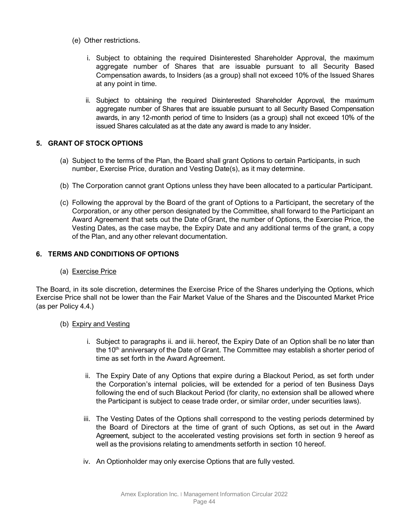- <span id="page-44-4"></span>(e) Other restrictions.
	- i. Subject to obtaining the required Disinterested Shareholder Approval, the maximum aggregate number of Shares that are issuable pursuant to all Security Based Compensation awards, to Insiders (as a group) shall not exceed 10% of the Issued Shares at any point in time.
	- ii. Subject to obtaining the required Disinterested Shareholder Approval, the maximum aggregate number of Shares that are issuable pursuant to all Security Based Compensation awards, in any 12-month period of time to Insiders (as a group) shall not exceed 10% of the issued Shares calculated as at the date any award is made to any Insider.

# <span id="page-44-5"></span>**5. GRANT OF STOCK OPTIONS**

- (a) Subject to the terms of the Plan, the Board shall grant Options to certain Participants, in such number, Exercise Price, duration and Vesting Date(s), as it may determine.
- (b) The Corporation cannot grant Options unless they have been allocated to a particular Participant.
- (c) Following the approval by the Board of the grant of Options to a Participant, the secretary of the Corporation, or any other person designated by the Committee, shall forward to the Participant an Award Agreement that sets out the Date of Grant, the number of Options, the Exercise Price, the Vesting Dates, as the case maybe, the Expiry Date and any additional terms of the grant, a copy of the Plan, and any other relevant documentation.

# <span id="page-44-3"></span><span id="page-44-0"></span>**6. TERMS AND CONDITIONS OF OPTIONS**

(a) Exercise Price

The Board, in its sole discretion, determines the Exercise Price of the Shares underlying the Options, which Exercise Price shall not be lower than the Fair Market Value of the Shares and the Discounted Market Price (as per Policy 4.4.)

# (b) Expiry and Vesting

- i. Subject to paragraphs [ii.](#page-44-1) and [iii.](#page-44-2) hereof, the Expiry Date of an Option shall be no later than the  $10<sup>th</sup>$  anniversary of the Date of Grant. The Committee may establish a shorter period of time as set forth in the Award Agreement.
- <span id="page-44-1"></span>ii. The Expiry Date of any Options that expire during a Blackout Period, as set forth under the Corporation's internal policies, will be extended for a period of ten Business Days following the end of such Blackout Period (for clarity, no extension shall be allowed where the Participant is subject to cease trade order, or similar order, under securities laws).
- <span id="page-44-2"></span>iii. The Vesting Dates of the Options shall correspond to the vesting periods determined by the Board of Directors at the time of grant of such Options, as set out in the Award Agreement, subject to the accelerated vesting provisions set forth in section [9](#page-48-1) hereof as well as the provisions relating to amendments setforth in section [10](#page-48-0) hereof.
- iv. An Optionholder may only exercise Options that are fully vested.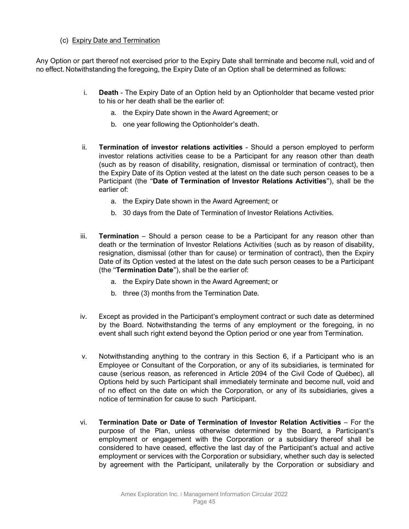# (c) Expiry Date and Termination

<span id="page-45-0"></span>Any Option or part thereof not exercised prior to the Expiry Date shall terminate and become null, void and of no effect. Notwithstanding the foregoing, the Expiry Date of an Option shall be determined as follows:

- i. **Death**  The Expiry Date of an Option held by an Optionholder that became vested prior to his or her death shall be the earlier of:
	- a. the Expiry Date shown in the Award Agreement; or
	- b. one year following the Optionholder's death.
- ii. **Termination of investor relations activities** Should a person employed to perform investor relations activities cease to be a Participant for any reason other than death (such as by reason of disability, resignation, dismissal or termination of contract), then the Expiry Date of its Option vested at the latest on the date such person ceases to be a Participant (the "**Date of Termination of Investor Relations Activities**"), shall be the earlier of:
	- a. the Expiry Date shown in the Award Agreement; or
	- b. 30 days from the Date of Termination of Investor Relations Activities.
- iii. **Termination**  Should a person cease to be a Participant for any reason other than death or the termination of Investor Relations Activities (such as by reason of disability, resignation, dismissal (other than for cause) or termination of contract), then the Expiry Date of its Option vested at the latest on the date such person ceases to be a Participant (the "**Termination Date**"), shall be the earlier of:
	- a. the Expiry Date shown in the Award Agreement; or
	- b. three (3) months from the Termination Date.
- iv. Except as provided in the Participant's employment contract or such date as determined by the Board. Notwithstanding the terms of any employment or the foregoing, in no event shall such right extend beyond the Option period or one year from Termination.
- v. Notwithstanding anything to the contrary in this Section [6,](#page-44-3) if a Participant who is an Employee or Consultant of the Corporation, or any of its subsidiaries, is terminated for cause (serious reason, as referenced in Article 2094 of the Civil Code of Québec), all Options held by such Participant shall immediately terminate and become null, void and of no effect on the date on which the Corporation, or any of its subsidiaries, gives a notice of termination for cause to such Participant.
- vi. **Termination Date or Date of Termination of Investor Relation Activities** For the purpose of the Plan, unless otherwise determined by the Board, a Participant's employment or engagement with the Corporation or a subsidiary thereof shall be considered to have ceased, effective the last day of the Participant's actual and active employment or services with the Corporation or subsidiary, whether such day is selected by agreement with the Participant, unilaterally by the Corporation or subsidiary and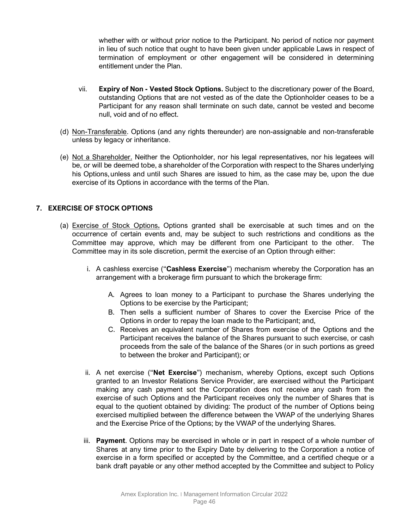whether with or without prior notice to the Participant. No period of notice nor payment in lieu of such notice that ought to have been given under applicable Laws in respect of termination of employment or other engagement will be considered in determining entitlement under the Plan.

- vii. **Expiry of Non - Vested Stock Options.** Subject to the discretionary power of the Board, outstanding Options that are not vested as of the date the Optionholder ceases to be a Participant for any reason shall terminate on such date, cannot be vested and become null, void and of no effect.
- (d) Non-Transferable. Options (and any rights thereunder) are non-assignable and non-transferable unless by legacy or inheritance.
- (e) Not a Shareholder. Neither the Optionholder, nor his legal representatives, nor his legatees will be, or will be deemed tobe, a shareholder of the Corporation with respect to the Shares underlying his Options,unless and until such Shares are issued to him, as the case may be, upon the due exercise of its Options in accordance with the terms of the Plan.

# **7. EXERCISE OF STOCK OPTIONS**

- <span id="page-46-2"></span><span id="page-46-1"></span><span id="page-46-0"></span>(a) Exercise of Stock Options**.** Options granted shall be exercisable at such times and on the occurrence of certain events and, may be subject to such restrictions and conditions as the Committee may approve, which may be different from one Participant to the other. The Committee may in its sole discretion, permit the exercise of an Option through either:
	- i. A cashless exercise ("**Cashless Exercise**") mechanism whereby the Corporation has an arrangement with a brokerage firm pursuant to which the brokerage firm:
		- A. Agrees to loan money to a Participant to purchase the Shares underlying the Options to be exercise by the Participant;
		- B. Then sells a sufficient number of Shares to cover the Exercise Price of the Options in order to repay the loan made to the Participant; and,
		- C. Receives an equivalent number of Shares from exercise of the Options and the Participant receives the balance of the Shares pursuant to such exercise, or cash proceeds from the sale of the balance of the Shares (or in such portions as greed to between the broker and Participant); or
	- ii. A net exercise ("**Net Exercise**") mechanism, whereby Options, except such Options granted to an Investor Relations Service Provider, are exercised without the Participant making any cash payment sot the Corporation does not receive any cash from the exercise of such Options and the Participant receives only the number of Shares that is equal to the quotient obtained by dividing: The product of the number of Options being exercised multiplied between the difference between the VWAP of the underlying Shares and the Exercise Price of the Options; by the VWAP of the underlying Shares.
	- iii. **Payment**. Options may be exercised in whole or in part in respect of a whole number of Shares at any time prior to the Expiry Date by delivering to the Corporation a notice of exercise in a form specified or accepted by the Committee, and a certified cheque or a bank draft payable or any other method accepted by the Committee and subject to Policy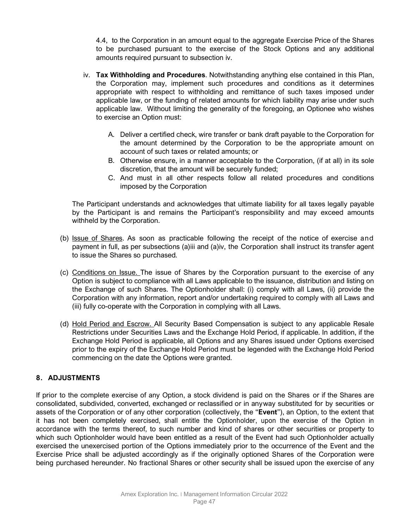4.4, to the Corporation in an amount equal to the aggregate Exercise Price of the Shares to be purchased pursuant to the exercise of the Stock Options and any additional amounts required pursuant to subsection [iv.](#page-47-1)

- <span id="page-47-1"></span>iv. **Tax Withholding and Procedures**. Notwithstanding anything else contained in this Plan, the Corporation may, implement such procedures and conditions as it determines appropriate with respect to withholding and remittance of such taxes imposed under applicable law, or the funding of related amounts for which liability may arise under such applicable law. Without limiting the generality of the foregoing, an Optionee who wishes to exercise an Option must:
	- A. Deliver a certified check, wire transfer or bank draft payable to the Corporation for the amount determined by the Corporation to be the appropriate amount on account of such taxes or related amounts; or
	- B. Otherwise ensure, in a manner acceptable to the Corporation, (if at all) in its sole discretion, that the amount will be securely funded;
	- C. And must in all other respects follow all related procedures and conditions imposed by the Corporation

The Participant understands and acknowledges that ultimate liability for all taxes legally payable by the Participant is and remains the Participant's responsibility and may exceed amounts withheld by the Corporation.

- (b) Issue of Shares. As soon as practicable following the receipt of the notice of exercise and payment in full, as per subsections [\(a\)iii](#page-46-2) and [\(a\)iv,](#page-47-1) the Corporation shall instruct its transfer agent to issue the Shares so purchased.
- (c) Conditions on Issue. The issue of Shares by the Corporation pursuant to the exercise of any Option is subject to compliance with all Laws applicable to the issuance, distribution and listing on the Exchange of such Shares. The Optionholder shall: (i) comply with all Laws, (ii) provide the Corporation with any information, report and/or undertaking required to comply with all Laws and (iii) fully co-operate with the Corporation in complying with all Laws.
- (d) Hold Period and Escrow. All Security Based Compensation is subject to any applicable Resale Restrictions under Securities Laws and the Exchange Hold Period, if applicable. In addition, if the Exchange Hold Period is applicable, all Options and any Shares issued under Options exercised prior to the expiry of the Exchange Hold Period must be legended with the Exchange Hold Period commencing on the date the Options were granted.

# <span id="page-47-0"></span>**8. ADJUSTMENTS**

If prior to the complete exercise of any Option, a stock dividend is paid on the Shares or if the Shares are consolidated, subdivided, converted, exchanged or reclassified or in anyway substituted for by securities or assets of the Corporation or of any other corporation (collectively, the "**Event**"), an Option, to the extent that it has not been completely exercised, shall entitle the Optionholder, upon the exercise of the Option in accordance with the terms thereof, to such number and kind of shares or other securities or property to which such Optionholder would have been entitled as a result of the Event had such Optionholder actually exercised the unexercised portion of the Options immediately prior to the occurrence of the Event and the Exercise Price shall be adjusted accordingly as if the originally optioned Shares of the Corporation were being purchased hereunder. No fractional Shares or other security shall be issued upon the exercise of any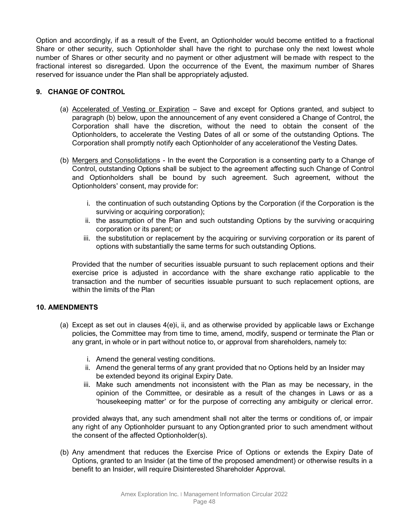Option and accordingly, if as a result of the Event, an Optionholder would become entitled to a fractional Share or other security, such Optionholder shall have the right to purchase only the next lowest whole number of Shares or other security and no payment or other adjustment will be made with respect to the fractional interest so disregarded. Upon the occurrence of the Event, the maximum number of Shares reserved for issuance under the Plan shall be appropriately adjusted.

# <span id="page-48-1"></span>**9. CHANGE OF CONTROL**

- (a) Accelerated of Vesting or Expiration Save and except for Options granted, and subject to paragraph (b) below, upon the announcement of any event considered a Change of Control, the Corporation shall have the discretion, without the need to obtain the consent of the Optionholders, to accelerate the Vesting Dates of all or some of the outstanding Options. The Corporation shall promptly notify each Optionholder of any accelerationof the Vesting Dates.
- (b) Mergers and Consolidations In the event the Corporation is a consenting party to a Change of Control, outstanding Options shall be subject to the agreement affecting such Change of Control and Optionholders shall be bound by such agreement. Such agreement, without the Optionholders' consent, may provide for:
	- i. the continuation of such outstanding Options by the Corporation (if the Corporation is the surviving or acquiring corporation);
	- ii. the assumption of the Plan and such outstanding Options by the surviving or acquiring corporation or its parent; or
	- iii. the substitution or replacement by the acquiring or surviving corporation or its parent of options with substantially the same terms for such outstanding Options.

Provided that the number of securities issuable pursuant to such replacement options and their exercise price is adjusted in accordance with the share exchange ratio applicable to the transaction and the number of securities issuable pursuant to such replacement options, are within the limits of the Plan

# <span id="page-48-0"></span>**10. AMENDMENTS**

- (a) Except as set out in clauses [4\(e\)i,](#page-44-4) [ii,](#page-44-5) and as otherwise provided by applicable laws or Exchange policies, the Committee may from time to time, amend, modify, suspend or terminate the Plan or any grant, in whole or in part without notice to, or approval from shareholders, namely to:
	- i. Amend the general vesting conditions.
	- ii. Amend the general terms of any grant provided that no Options held by an Insider may be extended beyond its original Expiry Date.
	- iii. Make such amendments not inconsistent with the Plan as may be necessary, in the opinion of the Committee, or desirable as a result of the changes in Laws or as a 'housekeeping matter' or for the purpose of correcting any ambiguity or clerical error.

provided always that, any such amendment shall not alter the terms or conditions of, or impair any right of any Optionholder pursuant to any Optiongranted prior to such amendment without the consent of the affected Optionholder(s).

(b) Any amendment that reduces the Exercise Price of Options or extends the Expiry Date of Options, granted to an Insider (at the time of the proposed amendment) or otherwise results in a benefit to an Insider, will require Disinterested Shareholder Approval.